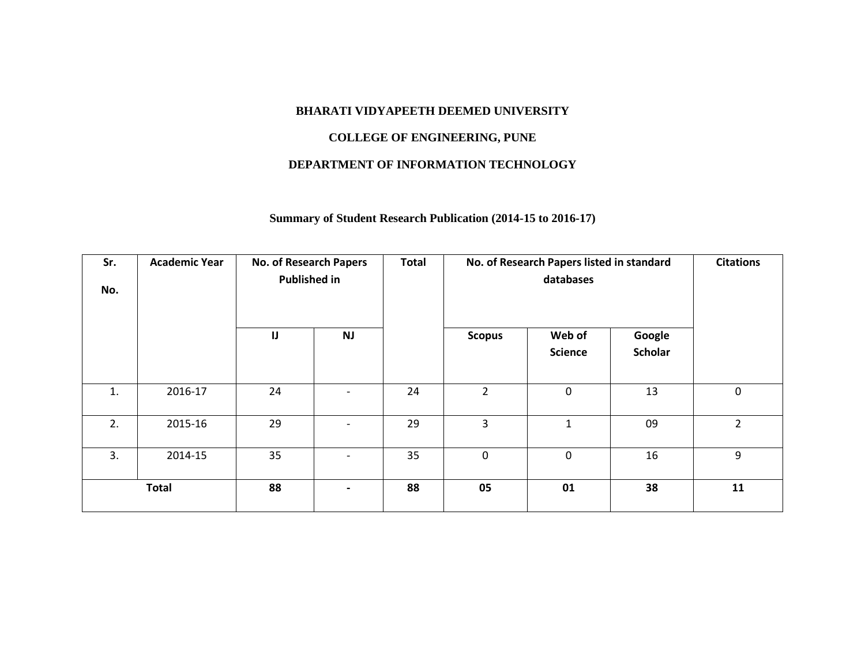## **BHARATI VIDYAPEETH DEEMED UNIVERSITY**

## **COLLEGE OF ENGINEERING, PUNE**

## **DEPARTMENT OF INFORMATION TECHNOLOGY**

# **Summary of Student Research Publication (2014-15 to 2016-17)**

| Sr.<br>No. | <b>Academic Year</b> | No. of Research Papers<br><b>Published in</b> |                          | <b>Total</b> |                | No. of Research Papers listed in standard<br>databases |                          | <b>Citations</b> |
|------------|----------------------|-----------------------------------------------|--------------------------|--------------|----------------|--------------------------------------------------------|--------------------------|------------------|
|            |                      | $\blacksquare$<br><b>NJ</b>                   |                          |              | <b>Scopus</b>  | Web of<br><b>Science</b>                               | Google<br><b>Scholar</b> |                  |
| 1.         | 2016-17              | 24                                            | $\overline{\phantom{a}}$ | 24           | $\overline{2}$ | $\mathbf 0$                                            | 13                       | 0                |
| 2.         | 2015-16              | 29                                            | $\overline{\phantom{a}}$ | 29           | 3              | $\mathbf{1}$                                           | 09                       | $\overline{2}$   |
| 3.         | 2014-15              | 35                                            | $\overline{\phantom{a}}$ | 35           | $\mathbf 0$    | $\mathbf 0$                                            | 16                       | 9                |
|            | <b>Total</b>         | 88                                            | $\blacksquare$           | 88           | 05             | 01                                                     | 38                       | 11               |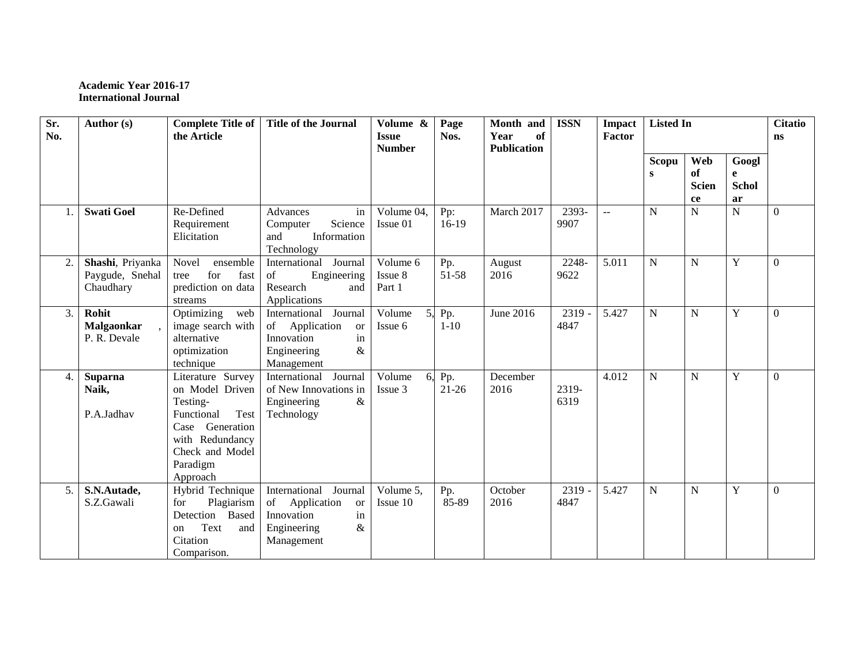### **Academic Year 2016-17 International Journal**

| Sr.<br>No. | Author (s)                                       | <b>Complete Title of</b><br>the Article                                                                                                                 | <b>Title of the Journal</b>                                                                                         | Volume &<br><b>Issue</b>      | Page<br>Nos.     | Month and<br>of<br>Year | <b>ISSN</b>    | Impact<br><b>Factor</b> | <b>Listed In</b> |                                 |                                            | <b>Citatio</b><br><b>ns</b> |
|------------|--------------------------------------------------|---------------------------------------------------------------------------------------------------------------------------------------------------------|---------------------------------------------------------------------------------------------------------------------|-------------------------------|------------------|-------------------------|----------------|-------------------------|------------------|---------------------------------|--------------------------------------------|-----------------------------|
|            |                                                  |                                                                                                                                                         |                                                                                                                     | <b>Number</b>                 |                  | <b>Publication</b>      |                |                         |                  |                                 |                                            |                             |
|            |                                                  |                                                                                                                                                         |                                                                                                                     |                               |                  |                         |                |                         | Scopu<br>S       | Web<br>of<br><b>Scien</b><br>ce | Googl<br>$\mathbf e$<br><b>Schol</b><br>ar |                             |
|            | <b>Swati Goel</b>                                | Re-Defined<br>Requirement<br>Elicitation                                                                                                                | Advances<br>in<br>Science<br>Computer<br>Information<br>and<br>Technology                                           | Volume 04,<br>Issue 01        | Pp:<br>$16-19$   | March 2017              | 2393-<br>9907  | $\sim$                  | $\mathbf N$      | ${\bf N}$                       | $\mathbf N$                                | $\Omega$                    |
| 2.         | Shashi, Priyanka<br>Paygude, Snehal<br>Chaudhary | Novel<br>ensemble<br>for<br>fast<br>tree<br>prediction on data<br>streams                                                                               | International Journal<br>of<br>Engineering<br>Research<br>and<br>Applications                                       | Volume 6<br>Issue 8<br>Part 1 | Pp.<br>51-58     | August<br>2016          | 2248-<br>9622  | 5.011                   | $\mathbf N$      | $\mathbf N$                     | Y                                          | $\Omega$                    |
| 3.         | Rohit<br><b>Malgaonkar</b><br>P. R. Devale       | Optimizing<br>web<br>image search with<br>alternative<br>optimization<br>technique                                                                      | Journal<br>International<br>Application<br>of<br><b>or</b><br>Innovation<br>in<br>$\&$<br>Engineering<br>Management | Volume<br>5.<br>Issue 6       | Pp.<br>$1 - 10$  | June 2016               | 2319<br>4847   | 5.427                   | $\mathbf N$      | $\mathbf N$                     | Y                                          | $\Omega$                    |
| 4.         | <b>Suparna</b><br>Naik,<br>P.A.Jadhav            | Literature Survey<br>on Model Driven<br>Testing-<br>Test<br>Functional<br>Case Generation<br>with Redundancy<br>Check and Model<br>Paradigm<br>Approach | International Journal<br>of New Innovations in<br>&<br>Engineering<br>Technology                                    | Volume<br>6.<br>Issue 3       | Pp.<br>$21 - 26$ | December<br>2016        | 2319-<br>6319  | 4.012                   | $\mathbf N$      | $\mathbf N$                     | Y                                          | $\mathbf{0}$                |
| 5.1        | S.N.Autade,<br>S.Z.Gawali                        | Hybrid Technique<br>Plagiarism<br>for<br>Detection Based<br>Text<br>and<br>on<br>Citation<br>Comparison.                                                | International Journal<br>of Application<br><b>or</b><br>Innovation<br>in<br>$\&$<br>Engineering<br>Management       | Volume 5.<br>Issue 10         | Pp.<br>85-89     | October<br>2016         | 2319 -<br>4847 | 5.427                   | N                | N                               | Y                                          | $\Omega$                    |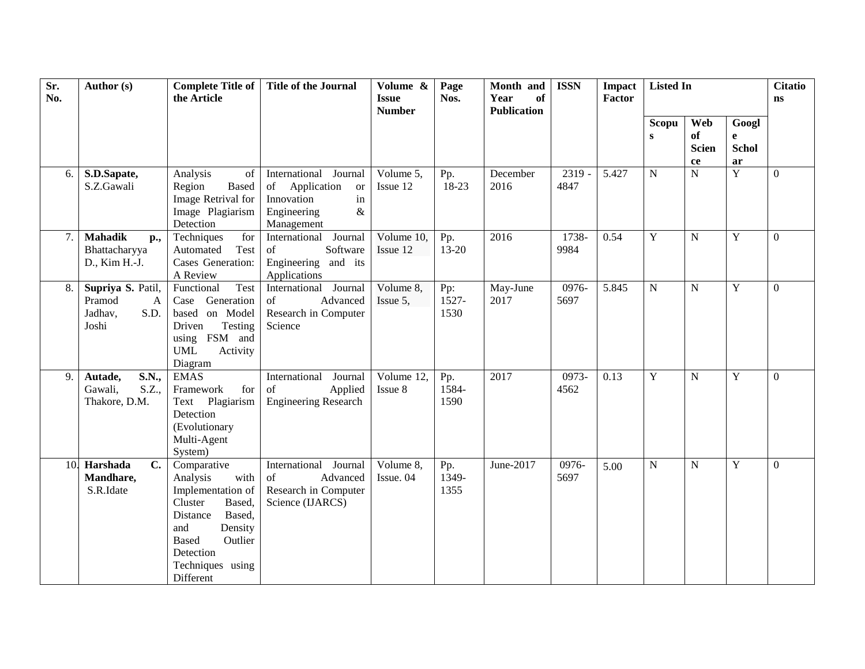| Sr.<br>No. | Author (s)                                                   | <b>Complete Title of</b><br>the Article                                                                                                                                                    | <b>Title of the Journal</b>                                                                                                          | Volume &<br><b>Issue</b><br><b>Number</b> | Page<br>Nos.         | Month and<br>Year<br>of<br><b>Publication</b> | <b>ISSN</b>      | Impact<br>Factor | <b>Listed In</b>   |                                               |                                  | <b>Citatio</b><br>$\mathbf{n}$ s |
|------------|--------------------------------------------------------------|--------------------------------------------------------------------------------------------------------------------------------------------------------------------------------------------|--------------------------------------------------------------------------------------------------------------------------------------|-------------------------------------------|----------------------|-----------------------------------------------|------------------|------------------|--------------------|-----------------------------------------------|----------------------------------|----------------------------------|
|            |                                                              |                                                                                                                                                                                            |                                                                                                                                      |                                           |                      |                                               |                  |                  | Scopu<br>${\bf S}$ | Web<br>of<br><b>Scien</b><br>${\bf c}{\bf e}$ | Googl<br>e<br><b>Schol</b><br>ar |                                  |
| 6.         | S.D.Sapate,<br>S.Z.Gawali                                    | Analysis<br>of<br>Region<br><b>Based</b><br>Image Retrival for<br>Image Plagiarism<br>Detection                                                                                            | International<br>Journal<br>Application<br>of<br><b>or</b><br>$\operatorname{in}$<br>Innovation<br>Engineering<br>$\&$<br>Management | Volume 5,<br>Issue 12                     | Pp.<br>18-23         | December<br>2016                              | $2319 -$<br>4847 | 5.427            | $\mathbf N$        | $\mathbf N$                                   | $\overline{Y}$                   | $\boldsymbol{0}$                 |
| 7.         | <b>Mahadik</b><br>p.,<br>Bhattacharyya<br>D., Kim H.-J.      | Techniques<br>for<br>Automated<br>Test<br>Cases Generation:<br>A Review                                                                                                                    | International<br>Journal<br>Software<br>of<br>Engineering and its<br>Applications                                                    | Volume 10,<br>Issue 12                    | Pp.<br>$13 - 20$     | 2016                                          | 1738-<br>9984    | 0.54             | Y                  | N                                             | Y                                | $\overline{0}$                   |
| 8.         | Supriya S. Patil,<br>Pramod<br>A<br>S.D.<br>Jadhav,<br>Joshi | Test<br>Functional<br>Generation<br>Case<br>based on Model<br>Testing<br>Driven<br>using FSM and<br><b>UML</b><br>Activity<br>Diagram                                                      | International Journal<br>of<br>Advanced<br>Research in Computer<br>Science                                                           | Volume 8,<br>Issue 5,                     | Pp:<br>1527-<br>1530 | May-June<br>2017                              | 0976-<br>5697    | 5.845            | N                  | N                                             | Y                                | $\Omega$                         |
| 9.         | Autade,<br>S.N.,<br>Gawali,<br>S.Z.,<br>Thakore, D.M.        | <b>EMAS</b><br>Framework<br>for<br>Text Plagiarism<br>Detection<br>(Evolutionary<br>Multi-Agent<br>System)                                                                                 | International<br>Journal<br>of<br>Applied<br><b>Engineering Research</b>                                                             | Volume 12,<br>Issue 8                     | Pp.<br>1584-<br>1590 | 2017                                          | 0973-<br>4562    | 0.13             | $\mathbf Y$        | $\mathbf N$                                   | $\mathbf Y$                      | $\boldsymbol{0}$                 |
|            | $\overline{C}$ .<br>10. Harshada<br>Mandhare,<br>S.R.Idate   | Comparative<br>Analysis<br>with<br>Implementation of<br>Cluster<br>Based,<br>Based,<br>Distance<br>and<br>Density<br>Outlier<br><b>Based</b><br>Detection<br>Techniques using<br>Different | International Journal<br>Advanced<br>of<br>Research in Computer<br>Science (IJARCS)                                                  | Volume 8,<br>Issue. 04                    | Pp.<br>1349-<br>1355 | June-2017                                     | 0976-<br>5697    | 5.00             | $\mathbf N$        | N                                             | Y                                | $\overline{0}$                   |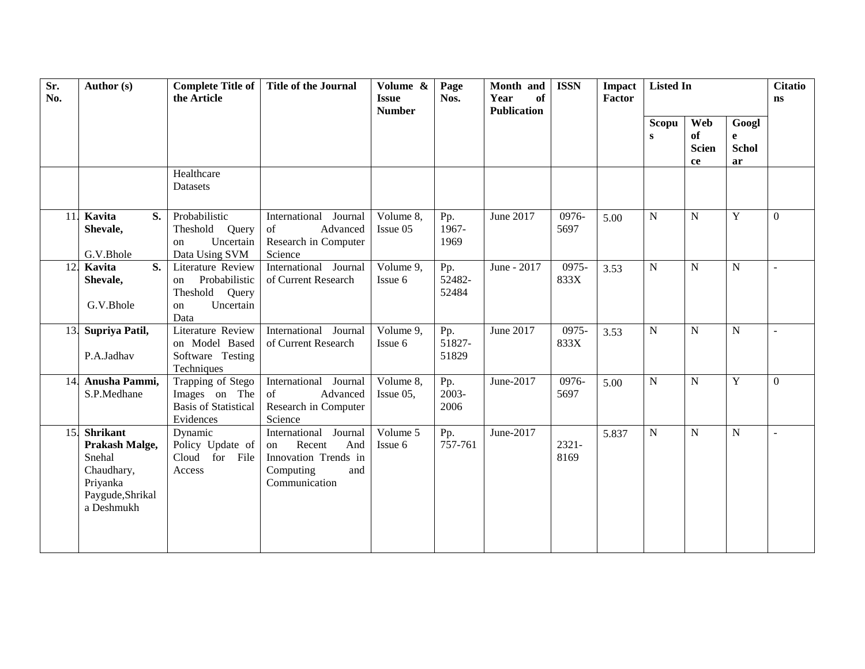| Sr.<br>No. | Author (s)                                                                                              | <b>Complete Title of</b><br>the Article                                                  | <b>Title of the Journal</b>                                                                                  | Volume &<br><b>Issue</b><br><b>Number</b> | Page<br>Nos.           | Month and<br>of<br>Year<br><b>Publication</b> | <b>ISSN</b>      | Impact<br>Factor | <b>Listed In</b>  |                                 |                                  | <b>Citatio</b><br><b>ns</b> |
|------------|---------------------------------------------------------------------------------------------------------|------------------------------------------------------------------------------------------|--------------------------------------------------------------------------------------------------------------|-------------------------------------------|------------------------|-----------------------------------------------|------------------|------------------|-------------------|---------------------------------|----------------------------------|-----------------------------|
|            |                                                                                                         |                                                                                          |                                                                                                              |                                           |                        |                                               |                  |                  | <b>Scopu</b><br>S | Web<br>of<br><b>Scien</b><br>ce | Googl<br>e<br><b>Schol</b><br>ar |                             |
|            |                                                                                                         | Healthcare<br>Datasets                                                                   |                                                                                                              |                                           |                        |                                               |                  |                  |                   |                                 |                                  |                             |
|            | 11. Kavita<br>S.<br>Shevale,<br>G.V.Bhole                                                               | Probabilistic<br>Theshold Query<br>Uncertain<br>on<br>Data Using SVM                     | International Journal<br>Advanced<br>of<br>Research in Computer<br>Science                                   | Volume 8,<br>Issue 05                     | Pp.<br>1967-<br>1969   | June 2017                                     | 0976-<br>5697    | 5.00             | N                 | N                               | $\mathbf Y$                      | $\theta$                    |
| 12.        | Kavita<br>S.<br>Shevale,<br>G.V.Bhole                                                                   | Literature Review<br>Probabilistic<br>on<br>Theshold<br>Query<br>Uncertain<br>on<br>Data | International Journal<br>of Current Research                                                                 | Volume 9,<br>Issue 6                      | Pp.<br>52482-<br>52484 | June - 2017                                   | 0975-<br>833X    | 3.53             | N                 | N                               | $\mathbf N$                      | $\overline{a}$              |
|            | 13. Supriya Patil,<br>P.A.Jadhav                                                                        | <b>Literature Review</b><br>on Model Based<br>Software Testing<br>Techniques             | International Journal<br>of Current Research                                                                 | Volume 9,<br>Issue 6                      | Pp.<br>51827-<br>51829 | June 2017                                     | 0975-<br>833X    | 3.53             | $\mathbf N$       | N                               | $\mathbf N$                      | $\overline{a}$              |
|            | 14. Anusha Pammi,<br>S.P.Medhane                                                                        | Trapping of Stego<br>Images on The<br><b>Basis of Statistical</b><br>Evidences           | International Journal<br>of<br>Advanced<br>Research in Computer<br>Science                                   | Volume 8,<br>Issue 05,                    | Pp.<br>2003-<br>2006   | June-2017                                     | 0976-<br>5697    | 5.00             | $\mathbf N$       | N                               | Y                                | $\Omega$                    |
| 15.        | <b>Shrikant</b><br>Prakash Malge,<br>Snehal<br>Chaudhary,<br>Priyanka<br>Paygude, Shrikal<br>a Deshmukh | Dynamic<br>Policy Update of<br>Cloud for<br>File<br>Access                               | International<br>Journal<br>Recent<br>And<br>on<br>Innovation Trends in<br>Computing<br>and<br>Communication | Volume 5<br>Issue 6                       | Pp.<br>757-761         | June-2017                                     | $2321 -$<br>8169 | 5.837            | N                 | $\overline{N}$                  | $\mathbf N$                      | $\overline{\phantom{a}}$    |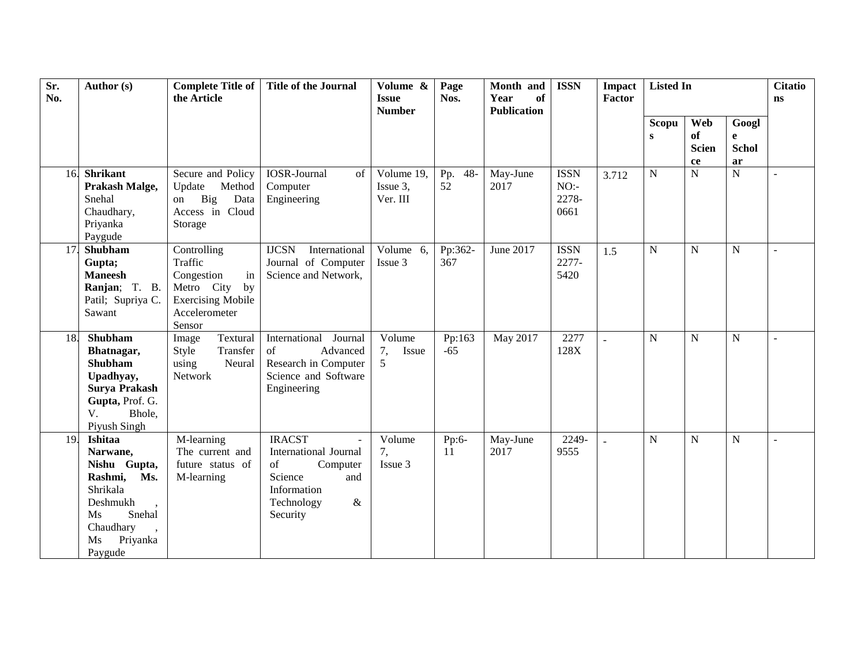| Sr.<br>No. | Author (s)                                                                                                                              | <b>Complete Title of</b><br>the Article                                                                               | <b>Title of the Journal</b>                                                                                                        | Volume &<br><b>Issue</b><br><b>Number</b> | Page<br>Nos.        | Month and<br>of<br>Year<br><b>Publication</b> | <b>ISSN</b>                         | <b>Impact</b><br>Factor | <b>Listed In</b>  |                                 |                                  | <b>Citatio</b><br><b>ns</b> |
|------------|-----------------------------------------------------------------------------------------------------------------------------------------|-----------------------------------------------------------------------------------------------------------------------|------------------------------------------------------------------------------------------------------------------------------------|-------------------------------------------|---------------------|-----------------------------------------------|-------------------------------------|-------------------------|-------------------|---------------------------------|----------------------------------|-----------------------------|
|            |                                                                                                                                         |                                                                                                                       |                                                                                                                                    |                                           |                     |                                               |                                     |                         | <b>Scopu</b><br>S | Web<br>of<br><b>Scien</b><br>ce | Googl<br>e<br><b>Schol</b><br>ar |                             |
|            | 16. Shrikant<br>Prakash Malge,<br>Snehal<br>Chaudhary,<br>Priyanka<br>Paygude                                                           | Secure and Policy<br>Update<br>Method<br>Big<br>Data<br>on<br>Access in Cloud<br>Storage                              | <b>IOSR-Journal</b><br>of<br>Computer<br>Engineering                                                                               | Volume 19,<br>Issue 3,<br>Ver. III        | $48 -$<br>Pp.<br>52 | May-June<br>2017                              | <b>ISSN</b><br>NO:<br>2278-<br>0661 | 3.712                   | N                 | $\overline{N}$                  | $\overline{N}$                   | $\overline{a}$              |
| 17.        | Shubham<br>Gupta;<br><b>Maneesh</b><br>Ranjan; T. B.<br>Patil; Supriya C.<br>Sawant                                                     | Controlling<br>Traffic<br>Congestion<br>in<br>Metro City<br>by<br><b>Exercising Mobile</b><br>Accelerometer<br>Sensor | <b>IJCSN</b><br>International<br>Journal of Computer<br>Science and Network,                                                       | Volume 6,<br>Issue 3                      | Pp:362-<br>367      | June 2017                                     | <b>ISSN</b><br>2277-<br>5420        | 1.5                     | N                 | N                               | N                                | $\overline{a}$              |
| 18.        | Shubham<br>Bhatnagar,<br>Shubham<br>Upadhyay,<br>Surya Prakash<br>Gupta, Prof. G.<br>V.<br>Bhole,<br>Piyush Singh                       | Textural<br>Image<br>Style<br>Transfer<br>using<br>Neural<br>Network                                                  | Journal<br>International<br>of<br>Advanced<br>Research in Computer<br>Science and Software<br>Engineering                          | Volume<br>7,<br>Issue<br>5                | Pp:163<br>$-65$     | May 2017                                      | 2277<br>128X                        |                         | N                 | $\mathbf N$                     | ${\bf N}$                        | $\overline{\phantom{a}}$    |
| 19.        | Ishitaa<br>Narwane,<br>Nishu Gupta,<br>Ms.<br>Rashmi,<br>Shrikala<br>Deshmukh<br>Snehal<br>Ms<br>Chaudhary<br>Priyanka<br>Ms<br>Paygude | M-learning<br>The current and<br>future status of<br>M-learning                                                       | <b>IRACST</b><br><b>International Journal</b><br>of<br>Computer<br>Science<br>and<br>Information<br>Technology<br>$\&$<br>Security | Volume<br>7,<br>Issue 3                   | Pp:6-<br>11         | May-June<br>2017                              | 2249-<br>9555                       |                         | $\mathbf N$       | $\mathbf N$                     | N                                | $\sim$                      |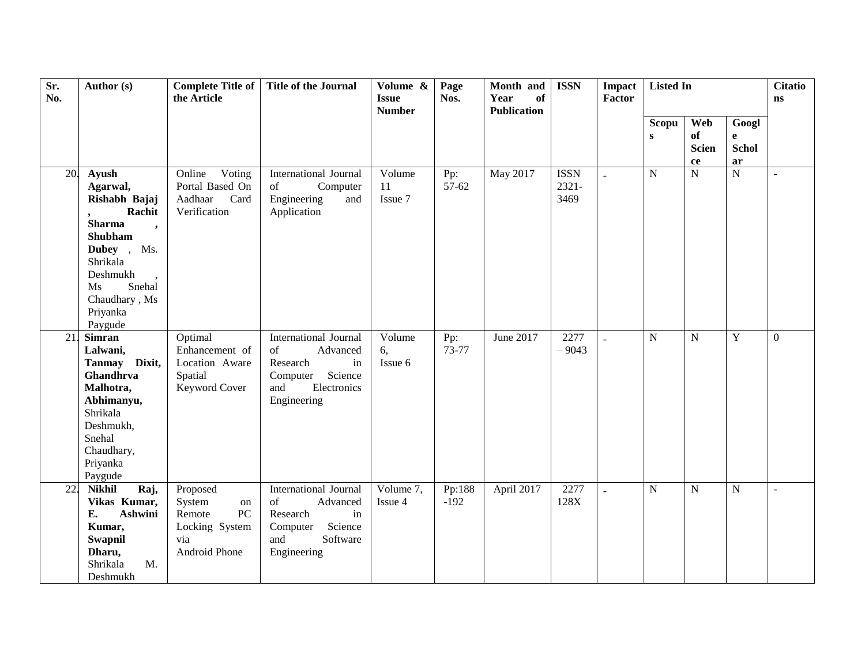| Sr.<br>No. | Author (s)                                                                                                                                                                                         | <b>Complete Title of</b><br>the Article                                            | <b>Title of the Journal</b>                                                                                                  | Volume &<br><b>Issue</b><br><b>Number</b> | Page<br>Nos.     | Month and<br>Year<br>of<br><b>Publication</b> | <b>ISSN</b>                     | Impact<br><b>Factor</b> | <b>Listed In</b>      |                                               |                                             | <b>Citatio</b><br>ns |
|------------|----------------------------------------------------------------------------------------------------------------------------------------------------------------------------------------------------|------------------------------------------------------------------------------------|------------------------------------------------------------------------------------------------------------------------------|-------------------------------------------|------------------|-----------------------------------------------|---------------------------------|-------------------------|-----------------------|-----------------------------------------------|---------------------------------------------|----------------------|
|            |                                                                                                                                                                                                    |                                                                                    |                                                                                                                              |                                           |                  |                                               |                                 |                         | Scopu<br>$\mathbf{s}$ | Web<br>of<br><b>Scien</b><br>${\bf c}{\bf e}$ | Googl<br>$\mathbf{e}$<br><b>Schol</b><br>ar |                      |
| 20.        | Ayush<br>Agarwal,<br>Rishabh Bajaj<br>Rachit<br><b>Sharma</b><br>$\overline{\phantom{a}}$<br>Shubham<br>Dubey, Ms.<br>Shrikala<br>Deshmukh<br>Ms<br>Snehal<br>Chaudhary, Ms<br>Priyanka<br>Paygude | Voting<br>Online<br>Portal Based On<br>Aadhaar<br>Card<br>Verification             | International Journal<br>of<br>Computer<br>Engineering<br>and<br>Application                                                 | Volume<br>11<br>Issue 7                   | Pp:<br>57-62     | May 2017                                      | <b>ISSN</b><br>$2321 -$<br>3469 | $\overline{a}$          | $\mathbf N$           | $\mathbf N$                                   | $\overline{N}$                              | $\blacksquare$       |
| 21.        | <b>Simran</b><br>Lalwani,<br>Tanmay Dixit,<br>Ghandhrva<br>Malhotra,<br>Abhimanyu,<br>Shrikala<br>Deshmukh,<br>Snehal<br>Chaudhary,<br>Priyanka<br>Paygude                                         | Optimal<br>Enhancement of<br>Location Aware<br>Spatial<br>Keyword Cover            | <b>International Journal</b><br>of<br>Advanced<br>Research<br>in<br>Science<br>Computer<br>and<br>Electronics<br>Engineering | Volume<br>6,<br>Issue 6                   | Pp:<br>73-77     | June 2017                                     | 2277<br>$-9043$                 | $\overline{a}$          | $\mathbf N$           | $\mathbf N$                                   | Y                                           | $\Omega$             |
| 22.        | <b>Nikhil</b><br>Raj,<br>Vikas Kumar,<br>E.<br>Ashwini<br>Kumar,<br>Swapnil<br>Dharu,<br>Shrikala<br>M.<br>Deshmukh                                                                                | Proposed<br>System<br>on<br>PC<br>Remote<br>Locking System<br>via<br>Android Phone | International Journal<br>of<br>Advanced<br>Research<br>in<br>Science<br>Computer<br>Software<br>and<br>Engineering           | Volume 7,<br>Issue 4                      | Pp:188<br>$-192$ | April 2017                                    | 2277<br>128X                    |                         | $\overline{N}$        | $\mathbf N$                                   | $\mathbf N$                                 | $\sim$               |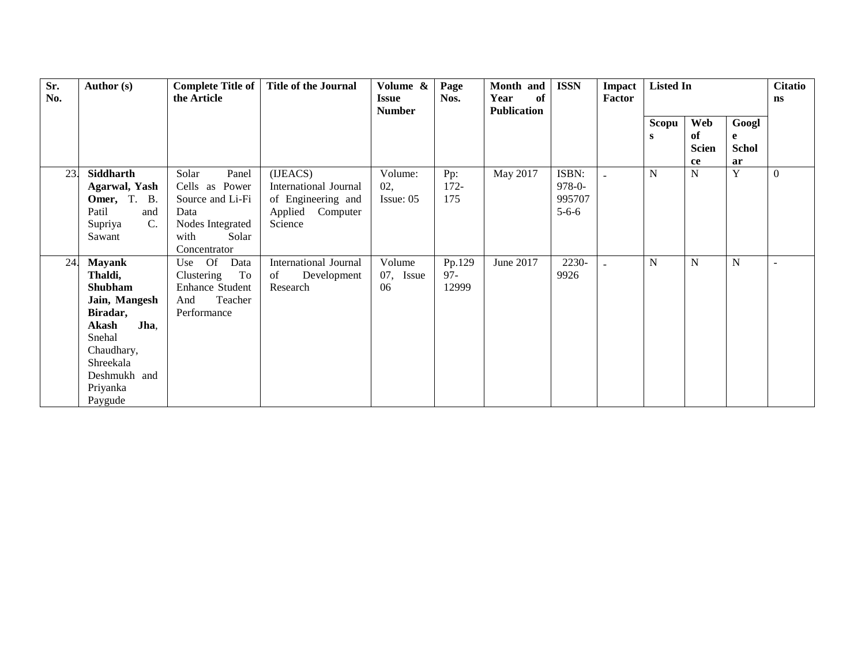| Sr.<br>No. | Author (s)                                                                                                                                                           | <b>Complete Title of</b><br>the Article                                                                           | <b>Title of the Journal</b>                                                               | Volume &<br><b>Issue</b><br><b>Number</b> | Page<br>Nos.              | Month and<br>of<br>Year<br><b>Publication</b> | <b>ISSN</b>                                   | <b>Impact</b><br>Factor | <b>Listed In</b> |                                 |                                  | <b>Citatio</b><br>$\mathbf{n}$ s |
|------------|----------------------------------------------------------------------------------------------------------------------------------------------------------------------|-------------------------------------------------------------------------------------------------------------------|-------------------------------------------------------------------------------------------|-------------------------------------------|---------------------------|-----------------------------------------------|-----------------------------------------------|-------------------------|------------------|---------------------------------|----------------------------------|----------------------------------|
|            |                                                                                                                                                                      |                                                                                                                   |                                                                                           |                                           |                           |                                               |                                               |                         | Scopu<br>s       | Web<br>of<br><b>Scien</b><br>ce | Googl<br>e<br><b>Schol</b><br>ar |                                  |
| 23.        | Siddharth<br><b>Agarwal</b> , Yash<br>Omer, T. B.<br>Patil<br>and<br>$\mathbf{C}$ .<br>Supriya<br>Sawant                                                             | Solar<br>Panel<br>Cells as Power<br>Source and Li-Fi<br>Data<br>Nodes Integrated<br>Solar<br>with<br>Concentrator | (IJEACS)<br>International Journal<br>of Engineering and<br>Applied<br>Computer<br>Science | Volume:<br>02,<br>Issue: 05               | Pp:<br>$172 -$<br>175     | May 2017                                      | ISBN:<br>$978 - 0 -$<br>995707<br>$5 - 6 - 6$ |                         | N                | N                               | Y                                | $\theta$                         |
| 24.        | <b>Mayank</b><br>Thaldi,<br><b>Shubham</b><br>Jain, Mangesh<br>Biradar,<br>Jha,<br>Akash<br>Snehal<br>Chaudhary,<br>Shreekala<br>Deshmukh and<br>Priyanka<br>Paygude | Use Of<br>Data<br>To<br>Clustering<br><b>Enhance Student</b><br>Teacher<br>And<br>Performance                     | International Journal<br>of<br>Development<br>Research                                    | Volume<br>07, Issue<br>06                 | Pp.129<br>$97 -$<br>12999 | June 2017                                     | 2230-<br>9926                                 |                         | N                | N                               | N                                | $\overline{\phantom{a}}$         |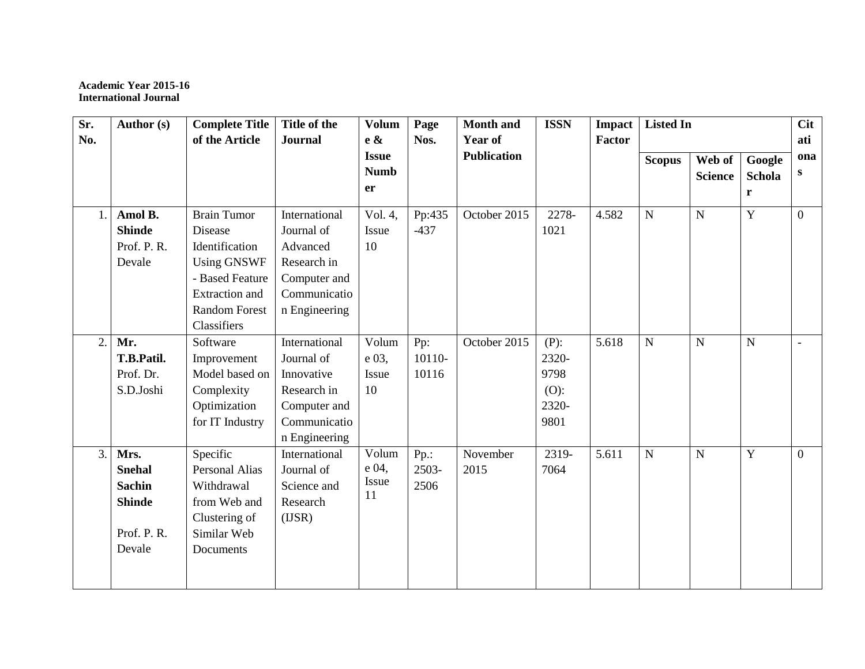#### **Academic Year 2015-16 International Journal**

| Sr. | Author (s)    | <b>Complete Title</b> | Title of the   | <b>Volum</b> | Page    | <b>Month and</b>   | <b>ISSN</b> | <b>Impact</b> | <b>Listed In</b> |                |                | <b>Cit</b>     |
|-----|---------------|-----------------------|----------------|--------------|---------|--------------------|-------------|---------------|------------------|----------------|----------------|----------------|
| No. |               | of the Article        | <b>Journal</b> | e &          | Nos.    | Year of            |             | Factor        |                  |                |                | ati            |
|     |               |                       |                | <b>Issue</b> |         | <b>Publication</b> |             |               | <b>Scopus</b>    | Web of         | Google         | ona            |
|     |               |                       |                | <b>Numb</b>  |         |                    |             |               |                  | <b>Science</b> | Schola         | S              |
|     |               |                       |                | er           |         |                    |             |               |                  |                | r              |                |
| 1.  | Amol B.       | <b>Brain Tumor</b>    | International  | Vol. 4,      | Pp:435  | October 2015       | 2278-       | 4.582         | $\mathbf N$      | ${\bf N}$      | Y              | $\overline{0}$ |
|     | <b>Shinde</b> | Disease               | Journal of     | Issue        | $-437$  |                    | 1021        |               |                  |                |                |                |
|     | Prof. P. R.   | Identification        | Advanced       | 10           |         |                    |             |               |                  |                |                |                |
|     | Devale        | <b>Using GNSWF</b>    | Research in    |              |         |                    |             |               |                  |                |                |                |
|     |               | - Based Feature       | Computer and   |              |         |                    |             |               |                  |                |                |                |
|     |               | <b>Extraction</b> and | Communicatio   |              |         |                    |             |               |                  |                |                |                |
|     |               | <b>Random Forest</b>  | n Engineering  |              |         |                    |             |               |                  |                |                |                |
|     |               | Classifiers           |                |              |         |                    |             |               |                  |                |                |                |
| 2.  | Mr.           | Software              | International  | Volum        | Pp:     | October 2015       | $(P)$ :     | 5.618         | $\mathbf N$      | $\mathbf N$    | $\mathbf N$    | $\overline{a}$ |
|     | T.B.Patil.    | Improvement           | Journal of     | e 03,        | 10110-  |                    | 2320-       |               |                  |                |                |                |
|     | Prof. Dr.     | Model based on        | Innovative     | Issue        | 10116   |                    | 9798        |               |                  |                |                |                |
|     | S.D.Joshi     | Complexity            | Research in    | 10           |         |                    | $(O)$ :     |               |                  |                |                |                |
|     |               | Optimization          | Computer and   |              |         |                    | 2320-       |               |                  |                |                |                |
|     |               | for IT Industry       | Communicatio   |              |         |                    | 9801        |               |                  |                |                |                |
|     |               |                       | n Engineering  |              |         |                    |             |               |                  |                |                |                |
| 3.1 | Mrs.          | Specific              | International  | Volum        | $Pp$ .: | November           | 2319-       | 5.611         | $\mathbf N$      | $\mathbf N$    | $\overline{Y}$ | $\overline{0}$ |
|     | <b>Snehal</b> | <b>Personal Alias</b> | Journal of     | $e04$ ,      | 2503-   | 2015               | 7064        |               |                  |                |                |                |
|     | <b>Sachin</b> | Withdrawal            | Science and    | <b>Issue</b> | 2506    |                    |             |               |                  |                |                |                |
|     | <b>Shinde</b> | from Web and          | Research       | 11           |         |                    |             |               |                  |                |                |                |
|     |               | Clustering of         | (ISR)          |              |         |                    |             |               |                  |                |                |                |
|     | Prof. P.R.    | Similar Web           |                |              |         |                    |             |               |                  |                |                |                |
|     | Devale        | Documents             |                |              |         |                    |             |               |                  |                |                |                |
|     |               |                       |                |              |         |                    |             |               |                  |                |                |                |
|     |               |                       |                |              |         |                    |             |               |                  |                |                |                |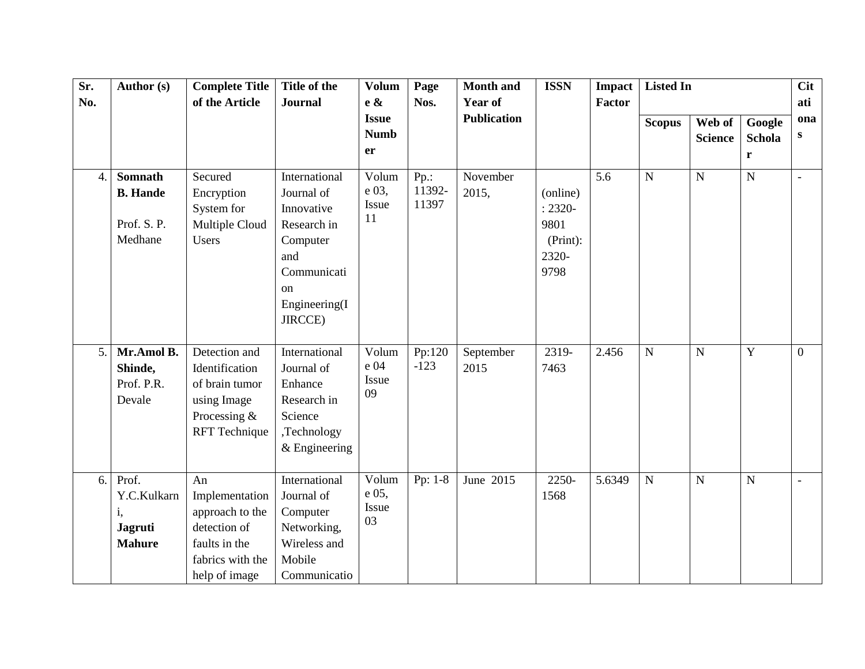| Sr. | Author (s)                                                    | <b>Complete Title</b>                                                                                         | Title of the                                                                                                                 | <b>Volum</b>                      | Page                       | <b>Month and</b>   | <b>ISSN</b>                                                 | <b>Impact</b> | <b>Listed In</b> |                          |                              | <b>Cit</b>     |
|-----|---------------------------------------------------------------|---------------------------------------------------------------------------------------------------------------|------------------------------------------------------------------------------------------------------------------------------|-----------------------------------|----------------------------|--------------------|-------------------------------------------------------------|---------------|------------------|--------------------------|------------------------------|----------------|
| No. |                                                               | of the Article                                                                                                | <b>Journal</b>                                                                                                               | e &                               | Nos.                       | Year of            |                                                             | <b>Factor</b> |                  |                          |                              | ati            |
|     |                                                               |                                                                                                               |                                                                                                                              | <b>Issue</b><br><b>Numb</b><br>er |                            | <b>Publication</b> |                                                             |               | <b>Scopus</b>    | Web of<br><b>Science</b> | Google<br><b>Schola</b><br>r | ona<br>S       |
| 4.  | <b>Somnath</b><br><b>B.</b> Hande<br>Prof. S.P.<br>Medhane    | Secured<br>Encryption<br>System for<br>Multiple Cloud<br>Users                                                | International<br>Journal of<br>Innovative<br>Research in<br>Computer<br>and<br>Communicati<br>on<br>Engineering(I<br>JIRCCE) | Volum<br>e 03,<br>Issue<br>11     | $Pp$ .:<br>11392-<br>11397 | November<br>2015,  | (online)<br>$: 2320 -$<br>9801<br>(Print):<br>2320-<br>9798 | 5.6           | $\mathbf N$      | $\mathbf N$              | $\overline{N}$               | $\mathbf{r}$   |
| 5.  | Mr.Amol B.<br>Shinde,<br>Prof. P.R.<br>Devale                 | Detection and<br>Identification<br>of brain tumor<br>using Image<br>Processing $&$<br><b>RFT</b> Technique    | International<br>Journal of<br>Enhance<br>Research in<br>Science<br>,Technology<br>$&$ Engineering                           | Volum<br>e 04<br>Issue<br>09      | Pp:120<br>$-123$           | September<br>2015  | 2319-<br>7463                                               | 2.456         | $\mathbf N$      | $\mathbf N$              | $\mathbf Y$                  | $\overline{0}$ |
| 6.  | Prof.<br>Y.C.Kulkarn<br>i,<br><b>Jagruti</b><br><b>Mahure</b> | An<br>Implementation<br>approach to the<br>detection of<br>faults in the<br>fabrics with the<br>help of image | International<br>Journal of<br>Computer<br>Networking,<br>Wireless and<br>Mobile<br>Communicatio                             | Volum<br>e 05,<br>Issue<br>03     | Pp: 1-8                    | June 2015          | 2250-<br>1568                                               | 5.6349        | ${\bf N}$        | ${\bf N}$                | ${\bf N}$                    | $\sim$         |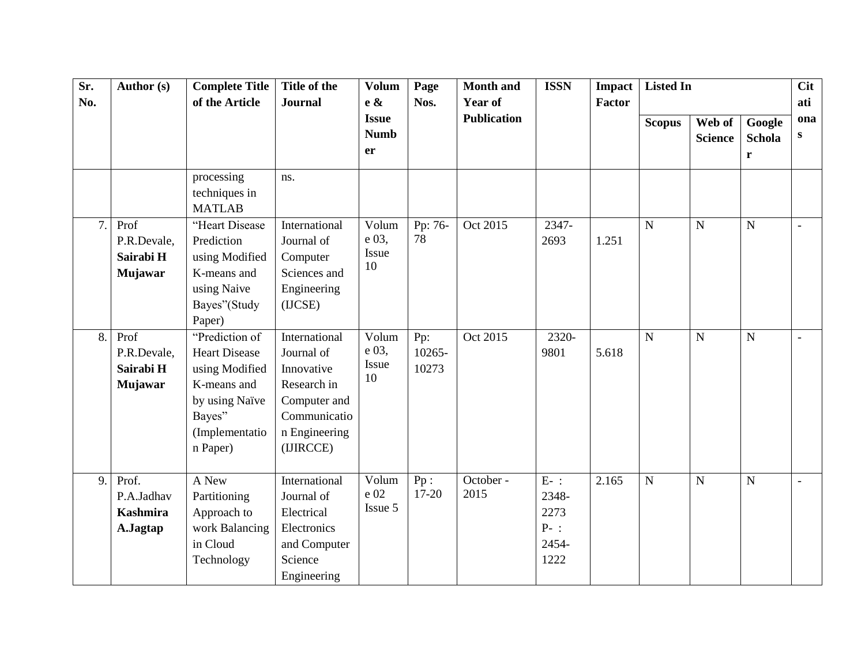| Sr.<br>No. | Author (s)                                         | <b>Complete Title</b><br>of the Article                                                                                           | Title of the<br><b>Journal</b>                                                                                         | <b>Volum</b><br>$e \&$            | Page<br>Nos.           | <b>Month</b> and<br><b>Year of</b> | <b>ISSN</b>                                        | <b>Impact</b><br>Factor | <b>Listed In</b>        |                          |                       | <b>Cit</b><br>ati   |
|------------|----------------------------------------------------|-----------------------------------------------------------------------------------------------------------------------------------|------------------------------------------------------------------------------------------------------------------------|-----------------------------------|------------------------|------------------------------------|----------------------------------------------------|-------------------------|-------------------------|--------------------------|-----------------------|---------------------|
|            |                                                    |                                                                                                                                   |                                                                                                                        | <b>Issue</b><br><b>Numb</b><br>er |                        | <b>Publication</b>                 |                                                    |                         | <b>Scopus</b>           | Web of<br><b>Science</b> | Google<br>Schola<br>r | ona<br>$\mathbf{s}$ |
|            |                                                    | processing<br>techniques in<br><b>MATLAB</b>                                                                                      | ns.                                                                                                                    |                                   |                        |                                    |                                                    |                         |                         |                          |                       |                     |
| 7.         | Prof<br>P.R.Devale,<br>Sairabi H<br><b>Mujawar</b> | "Heart Disease<br>Prediction<br>using Modified<br>K-means and<br>using Naive<br>Bayes"(Study<br>Paper)                            | International<br>Journal of<br>Computer<br>Sciences and<br>Engineering<br>(ICSE)                                       | Volum<br>e 03,<br>Issue<br>10     | Pp: 76-<br>78          | Oct 2015                           | 2347-<br>2693                                      | 1.251                   | $\overline{\mathbf{N}}$ | ${\bf N}$                | $\overline{N}$        | $\sim$              |
| 8.         | Prof<br>P.R.Devale,<br>Sairabi H<br><b>Mujawar</b> | "Prediction of<br><b>Heart Disease</b><br>using Modified<br>K-means and<br>by using Naïve<br>Bayes"<br>(Implementatio<br>n Paper) | International<br>Journal of<br>Innovative<br>Research in<br>Computer and<br>Communicatio<br>n Engineering<br>(IJIRCCE) | Volum<br>e 03,<br>Issue<br>10     | Pp:<br>10265-<br>10273 | Oct 2015                           | 2320-<br>9801                                      | 5.618                   | $\mathbf N$             | $\mathbf N$              | $\overline{N}$        | $\blacksquare$      |
| 9.         | Prof.<br>P.A.Jadhav<br><b>Kashmira</b><br>A.Jagtap | A New<br>Partitioning<br>Approach to<br>work Balancing<br>in Cloud<br>Technology                                                  | International<br>Journal of<br>Electrical<br>Electronics<br>and Computer<br>Science<br>Engineering                     | Volum<br>e 02<br>Issue 5          | Pp:<br>$17 - 20$       | October -<br>2015                  | $E-$ :<br>2348-<br>2273<br>$P-$ :<br>2454-<br>1222 | 2.165                   | $\overline{N}$          | ${\bf N}$                | $\mathbf N$           | $\blacksquare$      |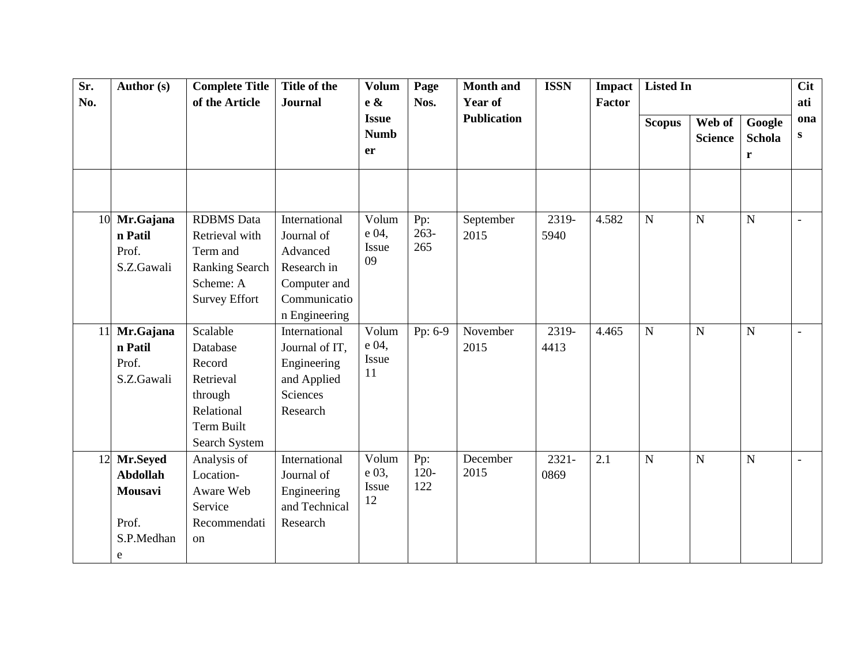| Sr. | Author (s)      | <b>Complete Title</b> | Title of the            | <b>Volum</b>                      | Page           | <b>Month and</b>   | <b>ISSN</b> | <b>Impact</b> | <b>Listed In</b> |                          |                              | <b>Cit</b>               |
|-----|-----------------|-----------------------|-------------------------|-----------------------------------|----------------|--------------------|-------------|---------------|------------------|--------------------------|------------------------------|--------------------------|
| No. |                 | of the Article        | <b>Journal</b>          | e &                               | Nos.           | Year of            |             | Factor        |                  |                          |                              | ati                      |
|     |                 |                       |                         | <b>Issue</b><br><b>Numb</b><br>er |                | <b>Publication</b> |             |               | <b>Scopus</b>    | Web of<br><b>Science</b> | Google<br><b>Schola</b><br>r | ona<br>$\mathbf{s}$      |
|     |                 |                       |                         |                                   |                |                    |             |               |                  |                          |                              |                          |
| 10  | Mr.Gajana       | <b>RDBMS</b> Data     | International           | Volum                             | Pp:<br>$263 -$ | September          | 2319-       | 4.582         | ${\bf N}$        | ${\bf N}$                | $\mathbf N$                  | $\overline{\phantom{a}}$ |
|     | n Patil         | Retrieval with        | Journal of              | e 04,<br>Issue                    | 265            | 2015               | 5940        |               |                  |                          |                              |                          |
|     | Prof.           | Term and              | Advanced                | 09                                |                |                    |             |               |                  |                          |                              |                          |
|     | S.Z.Gawali      | <b>Ranking Search</b> | Research in             |                                   |                |                    |             |               |                  |                          |                              |                          |
|     |                 | Scheme: A             | Computer and            |                                   |                |                    |             |               |                  |                          |                              |                          |
|     |                 | <b>Survey Effort</b>  | Communicatio            | Volum                             |                |                    |             |               |                  |                          |                              |                          |
|     |                 |                       | n Engineering           |                                   |                |                    |             |               |                  |                          |                              |                          |
| 11  | Mr.Gajana       | Scalable              | International           | e 04,                             | Pp: 6-9        | November           | 2319-       | 4.465         | ${\bf N}$        | ${\bf N}$                | $\mathbf N$                  | $\overline{\phantom{a}}$ |
|     | n Patil         | Database              | Journal of IT,          | Issue                             |                | 2015               | 4413        |               |                  |                          |                              |                          |
|     | Prof.           | Record                | Engineering             | 11                                |                |                    |             |               |                  |                          |                              |                          |
|     | S.Z.Gawali      | Retrieval             | and Applied<br>Sciences |                                   |                |                    |             |               |                  |                          |                              |                          |
|     |                 | through<br>Relational | Research                |                                   |                |                    |             |               |                  |                          |                              |                          |
|     |                 | Term Built            |                         |                                   |                |                    |             |               |                  |                          |                              |                          |
|     |                 | Search System         |                         |                                   |                |                    |             |               |                  |                          |                              |                          |
|     | 12 Mr.Seyed     | Analysis of           | International           | Volum                             | Pp:            | December           | $2321 -$    | 2.1           | $\overline{N}$   | ${\bf N}$                | $\overline{N}$               | $\overline{\phantom{a}}$ |
|     | <b>Abdollah</b> | Location-             | Journal of              | e 03,                             | $120 -$        | 2015               | 0869        |               |                  |                          |                              |                          |
|     | Mousavi         | Aware Web             | Engineering             | Issue                             | 122            |                    |             |               |                  |                          |                              |                          |
|     |                 | Service               | and Technical           | 12                                |                |                    |             |               |                  |                          |                              |                          |
|     | Prof.           | Recommendati          | Research                |                                   |                |                    |             |               |                  |                          |                              |                          |
|     | S.P.Medhan      | on                    |                         |                                   |                |                    |             |               |                  |                          |                              |                          |
|     | e               |                       |                         |                                   |                |                    |             |               |                  |                          |                              |                          |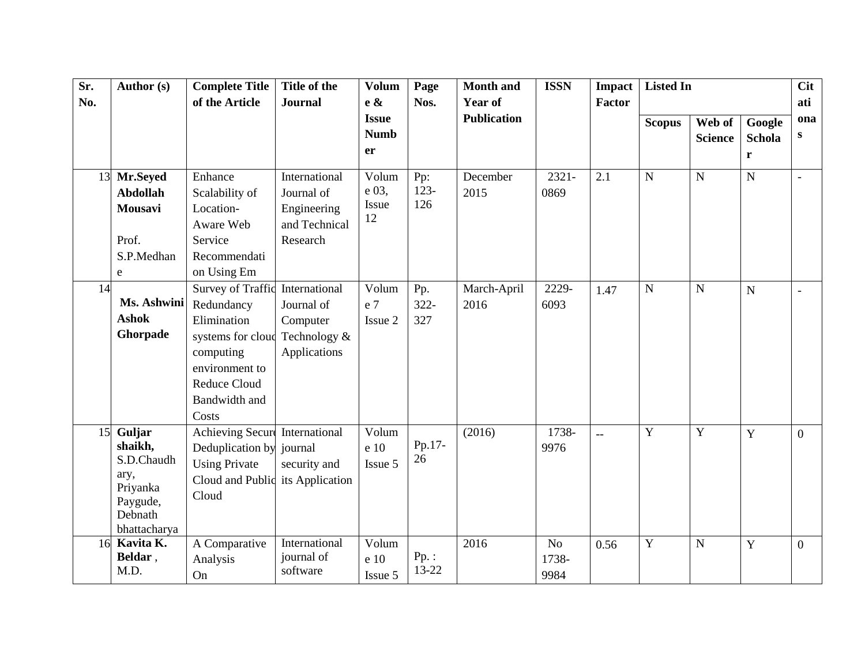| Sr. | Author (s)                                                                                 | <b>Complete Title</b>                                                                                                                        | Title of the                                                            | <b>Volum</b>                             | Page                  | <b>Month</b> and    | <b>ISSN</b>                     | <b>Impact</b>  | <b>Listed In</b> |                          |                              | <b>Cit</b>               |
|-----|--------------------------------------------------------------------------------------------|----------------------------------------------------------------------------------------------------------------------------------------------|-------------------------------------------------------------------------|------------------------------------------|-----------------------|---------------------|---------------------------------|----------------|------------------|--------------------------|------------------------------|--------------------------|
| No. |                                                                                            | of the Article                                                                                                                               | <b>Journal</b>                                                          | $e \&$                                   | Nos.                  | <b>Year of</b>      |                                 | Factor         |                  |                          |                              | ati                      |
|     |                                                                                            |                                                                                                                                              |                                                                         | <b>Issue</b><br><b>Numb</b><br><b>er</b> |                       | <b>Publication</b>  |                                 |                | <b>Scopus</b>    | Web of<br><b>Science</b> | Google<br><b>Schola</b><br>r | ona<br>${\bf S}$         |
|     | 13 Mr.Seyed<br><b>Abdollah</b><br>Mousavi<br>Prof.<br>S.P.Medhan                           | Enhance<br>Scalability of<br>Location-<br>Aware Web<br>Service<br>Recommendati                                                               | International<br>Journal of<br>Engineering<br>and Technical<br>Research | Volum<br>e 03,<br>Issue<br>12            | Pp:<br>$123 -$<br>126 | December<br>2015    | 2321-<br>0869                   | 2.1            | $\mathbf N$      | ${\bf N}$                | $\mathbf N$                  | $\overline{\phantom{a}}$ |
|     | ${\bf e}$                                                                                  | on Using Em                                                                                                                                  |                                                                         |                                          |                       |                     |                                 |                |                  |                          |                              |                          |
| 14  | Ms. Ashwini<br><b>Ashok</b><br>Ghorpade                                                    | Survey of Traffic<br>Redundancy<br>Elimination<br>systems for cloud<br>computing<br>environment to<br>Reduce Cloud<br>Bandwidth and<br>Costs | International<br>Journal of<br>Computer<br>Technology &<br>Applications | Volum<br>e 7<br>Issue 2                  | Pp.<br>322-<br>327    | March-April<br>2016 | 2229-<br>6093                   | 1.47           | N                | $\mathbf N$              | $\overline{N}$               | $\overline{\phantom{a}}$ |
| 15  | Guljar<br>shaikh,<br>S.D.Chaudh<br>ary,<br>Priyanka<br>Paygude,<br>Debnath<br>bhattacharya | <b>Achieving Secure</b><br>Deduplication by<br><b>Using Private</b><br>Cloud and Public<br>Cloud                                             | International<br>journal<br>security and<br>its Application             | Volum<br>e 10<br>Issue 5                 | Pp.17-<br>26          | (2016)              | 1738-<br>9976                   | $\overline{a}$ | Y                | $\mathbf Y$              | Y                            | $\overline{0}$           |
| 16  | Kavita $\overline{K}$ .<br>Beldar,<br>M.D.                                                 | A Comparative<br>Analysis<br>On                                                                                                              | International<br>journal of<br>software                                 | Volum<br>e 10<br>Issue 5                 | $Pp.$ :<br>13-22      | 2016                | N <sub>o</sub><br>1738-<br>9984 | 0.56           | $\mathbf Y$      | $\mathbf N$              | $\mathbf Y$                  | $\overline{0}$           |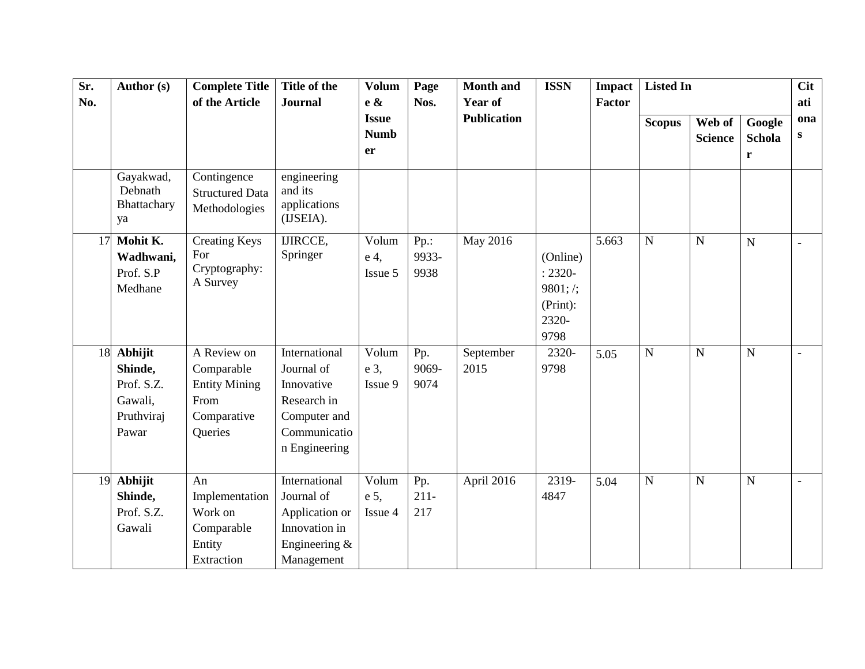| Sr. | Author (s)                                                            | <b>Complete Title</b>                                                               | Title of the                                                                                              | <b>Volum</b>                             | Page                     | <b>Month</b> and                     | <b>ISSN</b>                                                     | <b>Impact</b> | Listed In      |                          |                              | <b>Cit</b>      |
|-----|-----------------------------------------------------------------------|-------------------------------------------------------------------------------------|-----------------------------------------------------------------------------------------------------------|------------------------------------------|--------------------------|--------------------------------------|-----------------------------------------------------------------|---------------|----------------|--------------------------|------------------------------|-----------------|
| No. |                                                                       | of the Article                                                                      | <b>Journal</b>                                                                                            | e &<br><b>Issue</b><br><b>Numb</b><br>er | Nos.                     | <b>Year of</b><br><b>Publication</b> |                                                                 | <b>Factor</b> | <b>Scopus</b>  | Web of<br><b>Science</b> | Google<br><b>Schola</b><br>r | ati<br>ona<br>S |
|     | Gayakwad,<br>Debnath<br>Bhattachary<br>ya                             | Contingence<br><b>Structured Data</b><br>Methodologies                              | engineering<br>and its<br>applications<br>(IJSEIA).                                                       |                                          |                          |                                      |                                                                 |               |                |                          |                              |                 |
| 17  | Mohit K.<br>Wadhwani,<br>Prof. S.P<br>Medhane                         | <b>Creating Keys</b><br>For<br>Cryptography:<br>A Survey                            | <b>IJIRCCE,</b><br>Springer                                                                               | Volum<br>e 4,<br>Issue 5                 | $Pp$ .:<br>9933-<br>9938 | May 2016                             | (Online)<br>$: 2320 -$<br>9801; /;<br>(Print):<br>2320-<br>9798 | 5.663         | $\mathbf N$    | $\mathbf N$              | $\overline{N}$               | $\blacksquare$  |
|     | 18 Abhijit<br>Shinde,<br>Prof. S.Z.<br>Gawali,<br>Pruthviraj<br>Pawar | A Review on<br>Comparable<br><b>Entity Mining</b><br>From<br>Comparative<br>Queries | International<br>Journal of<br>Innovative<br>Research in<br>Computer and<br>Communicatio<br>n Engineering | Volum<br>e 3,<br>Issue 9                 | Pp.<br>9069-<br>9074     | September<br>2015                    | 2320-<br>9798                                                   | 5.05          | $\overline{N}$ | $\overline{N}$           | $\mathbf N$                  | $\blacksquare$  |
| 19  | Abhijit<br>Shinde,<br>Prof. S.Z.<br>Gawali                            | An<br>Implementation<br>Work on<br>Comparable<br>Entity<br>Extraction               | International<br>Journal of<br>Application or<br>Innovation in<br>Engineering $\&$<br>Management          | Volum<br>e 5,<br>Issue 4                 | Pp.<br>$211-$<br>217     | April 2016                           | 2319-<br>4847                                                   | 5.04          | $\mathbf N$    | N                        | $\mathbf N$                  |                 |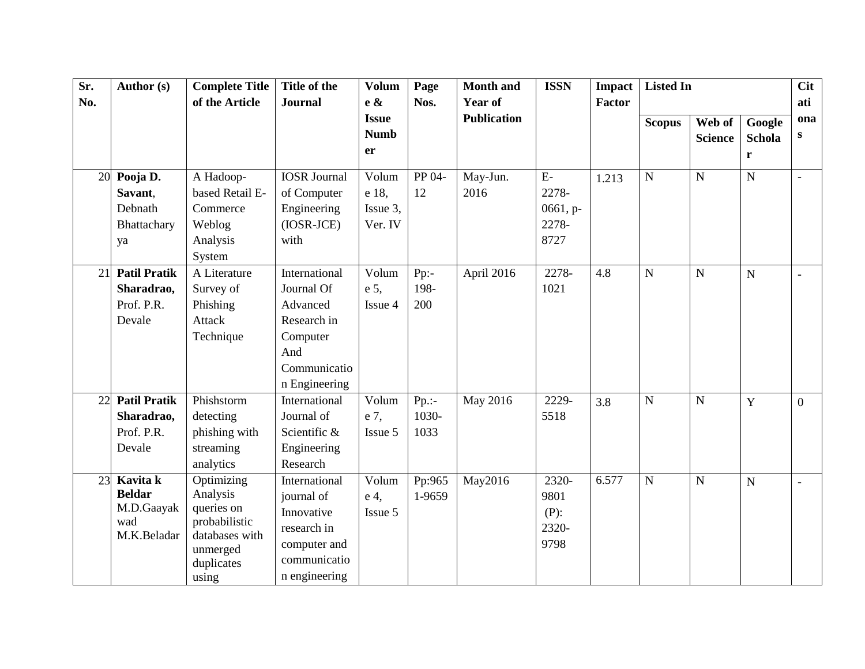| Sr. | Author (s)          | <b>Complete Title</b>       | Title of the        | <b>Volum</b>                | Page     | <b>Month</b> and   | <b>ISSN</b> | <b>Impact</b> | Listed In     |                |               | <b>Cit</b>     |
|-----|---------------------|-----------------------------|---------------------|-----------------------------|----------|--------------------|-------------|---------------|---------------|----------------|---------------|----------------|
| No. |                     | of the Article              | <b>Journal</b>      | e &                         | Nos.     | <b>Year of</b>     |             | <b>Factor</b> |               |                |               | ati            |
|     |                     |                             |                     | <b>Issue</b><br><b>Numb</b> |          | <b>Publication</b> |             |               | <b>Scopus</b> | Web of         | Google        | ona<br>S       |
|     |                     |                             |                     | er                          |          |                    |             |               |               | <b>Science</b> | <b>Schola</b> |                |
|     |                     |                             |                     |                             |          |                    |             |               |               |                | r             |                |
|     | 20 Pooja D.         | A Hadoop-                   | <b>IOSR</b> Journal | Volum                       | PP 04-   | May-Jun.           | $E-$        | 1.213         | $\mathbf N$   | $\overline{N}$ | $\mathbf N$   |                |
|     | Savant,             | based Retail E-             | of Computer         | e 18,                       | 12       | 2016               | 2278-       |               |               |                |               |                |
|     | Debnath             | Commerce                    | Engineering         | Issue 3,                    |          |                    | 0661, p-    |               |               |                |               |                |
|     | Bhattachary         | Weblog                      | (IOSR-JCE)          | Ver. IV                     |          |                    | 2278-       |               |               |                |               |                |
|     | ya                  | Analysis                    | with                |                             |          |                    | 8727        |               |               |                |               |                |
|     |                     | System                      |                     |                             |          |                    |             |               |               |                |               |                |
| 21  | <b>Patil Pratik</b> | A Literature                | International       | Volum                       | $Pp$ :-  | April 2016         | 2278-       | 4.8           | $\mathbf N$   | $\overline{N}$ | $\mathbf N$   |                |
|     | Sharadrao,          | Survey of                   | Journal Of          | e 5,                        | 198-     |                    | 1021        |               |               |                |               |                |
|     | Prof. P.R.          | Phishing                    | Advanced            | Issue 4                     | 200      |                    |             |               |               |                |               |                |
|     | Devale              | <b>Attack</b>               | Research in         |                             |          |                    |             |               |               |                |               |                |
|     |                     | Technique                   | Computer            |                             |          |                    |             |               |               |                |               |                |
|     |                     |                             | And                 |                             |          |                    |             |               |               |                |               |                |
|     |                     |                             | Communicatio        |                             |          |                    |             |               |               |                |               |                |
|     |                     |                             | n Engineering       |                             |          |                    |             |               |               |                |               |                |
| 22  | <b>Patil Pratik</b> | Phishstorm                  | International       | Volum                       | $Pp$ .:- | May 2016           | 2229-       | 3.8           | $\mathbf N$   | $\mathbf N$    | $\mathbf Y$   | $\overline{0}$ |
|     | Sharadrao,          | detecting                   | Journal of          | e 7,                        | 1030-    |                    | 5518        |               |               |                |               |                |
|     | Prof. P.R.          | phishing with               | Scientific &        | Issue 5                     | 1033     |                    |             |               |               |                |               |                |
|     | Devale              | streaming                   | Engineering         |                             |          |                    |             |               |               |                |               |                |
|     |                     | analytics                   | Research            |                             |          |                    |             |               |               |                |               |                |
| 23  | Kavita k            | Optimizing                  | International       | Volum                       | Pp:965   | May2016            | 2320-       | 6.577         | $\mathbf N$   | $\mathbf N$    | $\mathbf N$   |                |
|     | <b>Beldar</b>       | Analysis                    | journal of          | e <sub>4</sub>              | 1-9659   |                    | 9801        |               |               |                |               |                |
|     | M.D.Gaayak<br>wad   | queries on<br>probabilistic | Innovative          | Issue 5                     |          |                    | $(P)$ :     |               |               |                |               |                |
|     | M.K.Beladar         | databases with              | research in         |                             |          |                    | 2320-       |               |               |                |               |                |
|     |                     | unmerged                    | computer and        |                             |          |                    | 9798        |               |               |                |               |                |
|     |                     | duplicates                  | communicatio        |                             |          |                    |             |               |               |                |               |                |
|     |                     | using                       | n engineering       |                             |          |                    |             |               |               |                |               |                |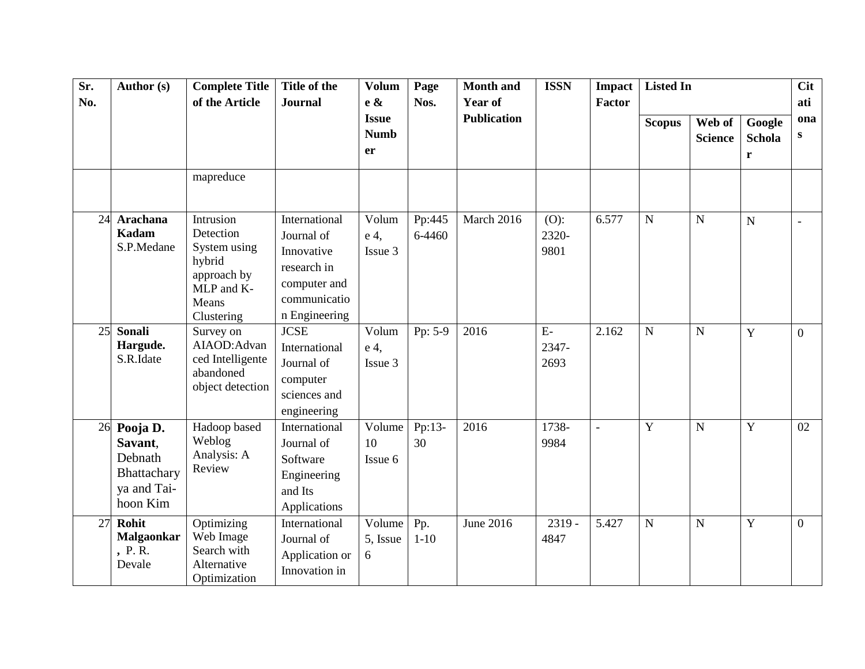| Sr.<br>No. | Author (s)                                                                  | <b>Complete Title</b><br>of the Article                                                              | Title of the<br><b>Journal</b>                                                                            | <b>Volum</b><br>$e \&$            | Page<br>Nos.     | <b>Month and</b><br><b>Year of</b> | <b>ISSN</b>              | <b>Impact</b><br>Factor | <b>Listed In</b> |                          |                                 | <b>Cit</b><br>ati |
|------------|-----------------------------------------------------------------------------|------------------------------------------------------------------------------------------------------|-----------------------------------------------------------------------------------------------------------|-----------------------------------|------------------|------------------------------------|--------------------------|-------------------------|------------------|--------------------------|---------------------------------|-------------------|
|            |                                                                             |                                                                                                      |                                                                                                           | <b>Issue</b><br><b>Numb</b><br>er |                  | <b>Publication</b>                 |                          |                         | <b>Scopus</b>    | Web of<br><b>Science</b> | Google<br>Schola<br>$\mathbf r$ | ona<br>S          |
|            |                                                                             | mapreduce                                                                                            |                                                                                                           |                                   |                  |                                    |                          |                         |                  |                          |                                 |                   |
|            | 24 Arachana<br><b>Kadam</b><br>S.P.Medane                                   | Intrusion<br>Detection<br>System using<br>hybrid<br>approach by<br>MLP and K-<br>Means<br>Clustering | International<br>Journal of<br>Innovative<br>research in<br>computer and<br>communicatio<br>n Engineering | Volum<br>e 4,<br>Issue 3          | Pp:445<br>6-4460 | March 2016                         | $(O)$ :<br>2320-<br>9801 | 6.577                   | $\mathbf N$      | $\mathbf N$              | $\overline{N}$                  | $\overline{a}$    |
| 25         | <b>Sonali</b><br>Hargude.<br>S.R.Idate                                      | Survey on<br>AIAOD: Advan<br>ced Intelligente<br>abandoned<br>object detection                       | <b>JCSE</b><br>International<br>Journal of<br>computer<br>sciences and<br>engineering                     | Volum<br>e 4,<br>Issue 3          | Pp: 5-9          | 2016                               | $E-$<br>2347-<br>2693    | 2.162                   | $\mathbf N$      | $\mathbf N$              | Y                               | $\overline{0}$    |
|            | 26 Pooja D.<br>Savant,<br>Debnath<br>Bhattachary<br>ya and Tai-<br>hoon Kim | Hadoop based<br>Weblog<br>Analysis: A<br>Review                                                      | International<br>Journal of<br>Software<br>Engineering<br>and Its<br>Applications                         | Volume<br>10<br>Issue 6           | Pp:13-<br>30     | 2016                               | 1738-<br>9984            | $\overline{a}$          | Y                | $\mathbf N$              | Y                               | 02                |
| 27         | Rohit<br><b>Malgaonkar</b><br>, P.R.<br>Devale                              | Optimizing<br>Web Image<br>Search with<br>Alternative<br>Optimization                                | International<br>Journal of<br>Application or<br>Innovation in                                            | Volume<br>5, Issue<br>6           | Pp.<br>$1 - 10$  | June 2016                          | $2319 -$<br>4847         | 5.427                   | $\mathbf N$      | $\mathbf N$              | Y                               | $\overline{0}$    |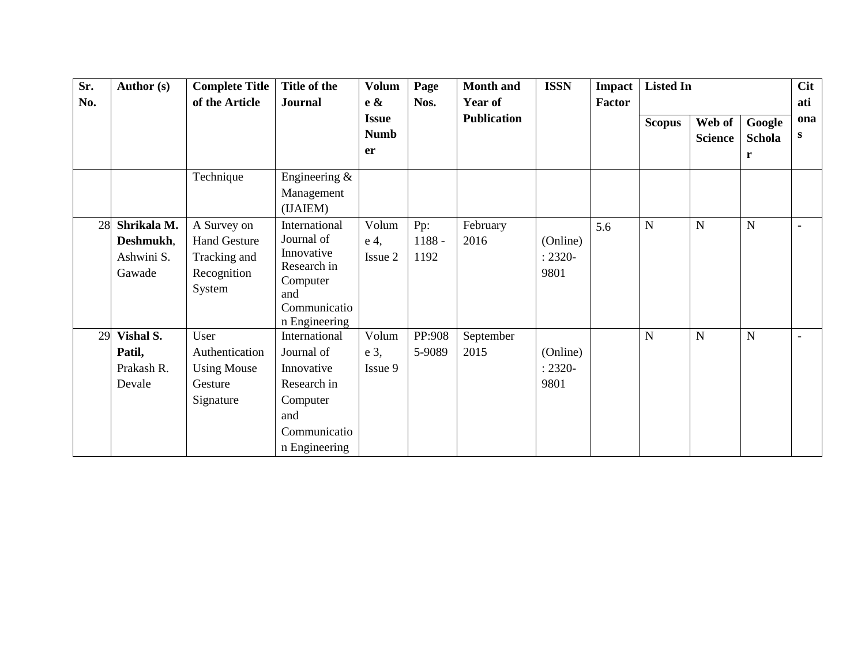| Sr. | Author (s)                                       | <b>Complete Title</b>                                                       | Title of the                                                                                                 | <b>Volum</b>             | Page                  | <b>Month and</b>   | <b>ISSN</b>                    | Impact | <b>Listed In</b> |                |             | <b>Cit</b>               |
|-----|--------------------------------------------------|-----------------------------------------------------------------------------|--------------------------------------------------------------------------------------------------------------|--------------------------|-----------------------|--------------------|--------------------------------|--------|------------------|----------------|-------------|--------------------------|
| No. |                                                  | of the Article                                                              | <b>Journal</b>                                                                                               | $e \&$                   | Nos.                  | Year of            |                                | Factor |                  |                |             | ati                      |
|     |                                                  |                                                                             |                                                                                                              | <b>Issue</b>             |                       | <b>Publication</b> |                                |        | <b>Scopus</b>    | Web of         | Google      | ona                      |
|     |                                                  |                                                                             |                                                                                                              | <b>Numb</b>              |                       |                    |                                |        |                  | <b>Science</b> | Schola      | S                        |
|     |                                                  |                                                                             |                                                                                                              | er                       |                       |                    |                                |        |                  |                | r           |                          |
|     |                                                  | Technique                                                                   | Engineering $&$<br>Management<br>(IJAIEM)                                                                    |                          |                       |                    |                                |        |                  |                |             |                          |
| 28  | Shrikala M.<br>Deshmukh,<br>Ashwini S.<br>Gawade | A Survey on<br><b>Hand Gesture</b><br>Tracking and<br>Recognition<br>System | International<br>Journal of<br>Innovative<br>Research in<br>Computer<br>and<br>Communicatio<br>n Engineering | Volum<br>e 4,<br>Issue 2 | Pp:<br>1188 -<br>1192 | February<br>2016   | (Online)<br>$: 2320 -$<br>9801 | 5.6    | N                | $\mathbf N$    | N           | $\overline{\phantom{a}}$ |
| 29  | Vishal S.<br>Patil,<br>Prakash R.<br>Devale      | User<br>Authentication<br><b>Using Mouse</b><br>Gesture<br>Signature        | International<br>Journal of<br>Innovative<br>Research in<br>Computer<br>and<br>Communicatio<br>n Engineering | Volum<br>e 3,<br>Issue 9 | PP:908<br>5-9089      | September<br>2015  | (Online)<br>$: 2320 -$<br>9801 |        | N                | $\mathbf N$    | $\mathbf N$ | $\overline{\phantom{a}}$ |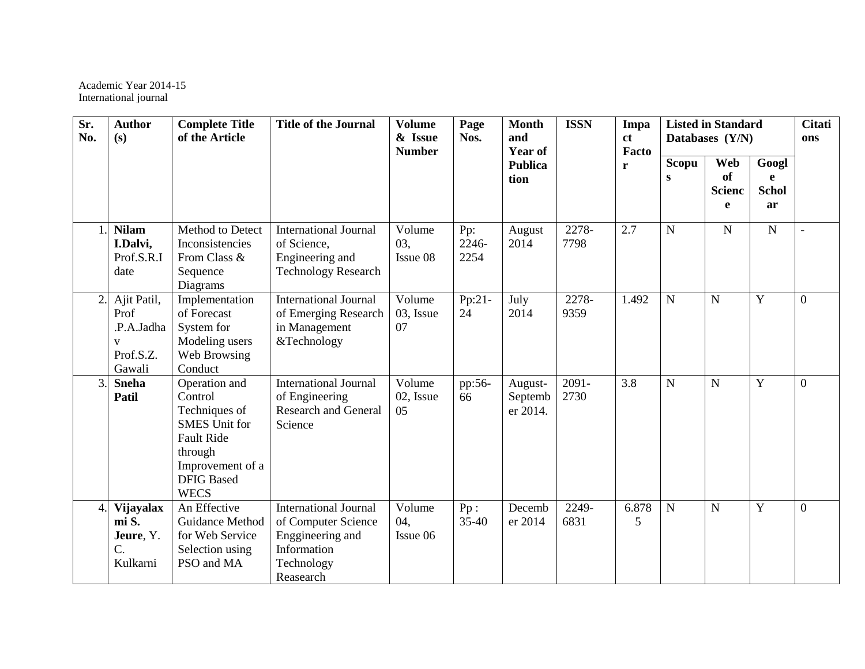Academic Year 2014-15 International journal

| Sr.<br>No.       | <b>Author</b><br>(s)                                           | <b>Complete Title</b><br>of the Article                                                                                                                   | <b>Title of the Journal</b>                                                                                       | <b>Volume</b><br>& Issue<br><b>Number</b> | Page<br>Nos.         | <b>Month</b><br>and<br><b>Year of</b> | <b>ISSN</b>   | Impa<br>ct<br>Facto |                | <b>Listed in Standard</b><br>Databases (Y/N) |                                  | <b>Citati</b><br>ons |
|------------------|----------------------------------------------------------------|-----------------------------------------------------------------------------------------------------------------------------------------------------------|-------------------------------------------------------------------------------------------------------------------|-------------------------------------------|----------------------|---------------------------------------|---------------|---------------------|----------------|----------------------------------------------|----------------------------------|----------------------|
|                  |                                                                |                                                                                                                                                           |                                                                                                                   |                                           |                      | <b>Publica</b><br>tion                |               | r                   | Scopu<br>S     | Web<br><b>of</b><br><b>Scienc</b><br>e       | Googl<br>e<br><b>Schol</b><br>ar |                      |
|                  | <b>Nilam</b><br>I.Dalvi,<br>Prof.S.R.I<br>date                 | Method to Detect<br>Inconsistencies<br>From Class &<br>Sequence<br>Diagrams                                                                               | <b>International Journal</b><br>of Science,<br>Engineering and<br><b>Technology Research</b>                      | Volume<br>03,<br>Issue 08                 | Pp:<br>2246-<br>2254 | August<br>2014                        | 2278-<br>7798 | 2.7                 | $\mathbf N$    | $\mathbf N$                                  | $\mathbf N$                      |                      |
| 2.               | Ajit Patil,<br>Prof<br>.P.A.Jadha<br>V<br>Prof.S.Z.<br>Gawali  | Implementation<br>of Forecast<br>System for<br>Modeling users<br>Web Browsing<br>Conduct                                                                  | <b>International Journal</b><br>of Emerging Research<br>in Management<br>&Technology                              | Volume<br>03, Issue<br>07                 | $Pp:21-$<br>24       | July<br>2014                          | 2278-<br>9359 | 1.492               | $\mathbf N$    | $\mathbf N$                                  | Y                                | $\overline{0}$       |
| $\overline{3}$ . | <b>Sneha</b><br>Patil                                          | Operation and<br>Control<br>Techniques of<br><b>SMES</b> Unit for<br><b>Fault Ride</b><br>through<br>Improvement of a<br><b>DFIG Based</b><br><b>WECS</b> | <b>International Journal</b><br>of Engineering<br><b>Research and General</b><br>Science                          | Volume<br>02, Issue<br>05                 | pp:56-<br>66         | August-<br>Septemb<br>er 2014.        | 2091-<br>2730 | 3.8                 | $\overline{N}$ | $\mathbf N$                                  | Y                                | $\overline{0}$       |
| 4.               | Vijayalax<br>mi S.<br>Jeure, Y.<br>$\mathcal{C}$ .<br>Kulkarni | An Effective<br>Guidance Method<br>for Web Service<br>Selection using<br>PSO and MA                                                                       | <b>International Journal</b><br>of Computer Science<br>Enggineering and<br>Information<br>Technology<br>Reasearch | Volume<br>04,<br>Issue 06                 | Pp:<br>$35 - 40$     | Decemb<br>er 2014                     | 2249-<br>6831 | 6.878<br>5          | $\overline{N}$ | $\mathbf N$                                  | Y                                | $\overline{0}$       |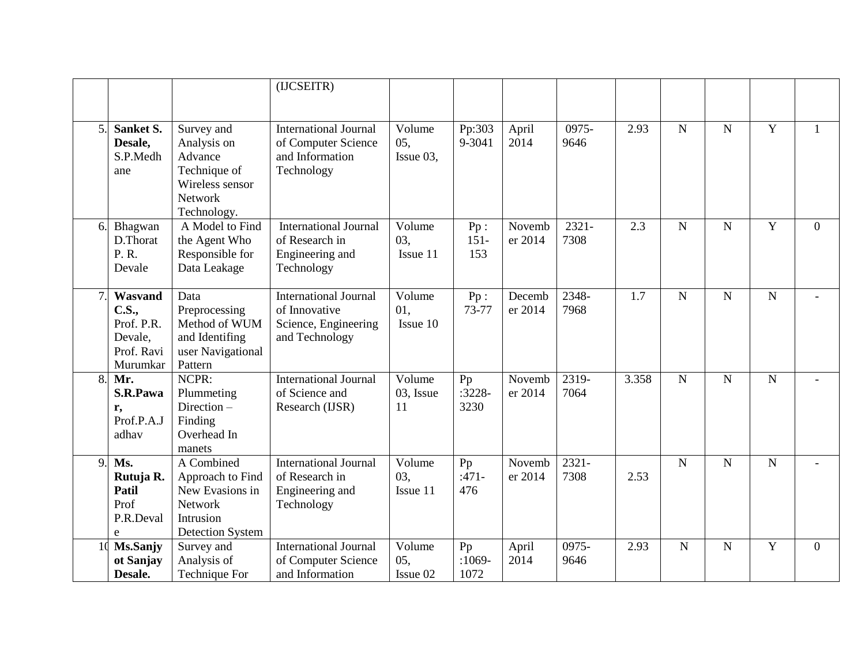|                |                                                                     |                                                                                                          | (IJCSEITR)                                                                              |                            |                        |                   |                  |       |                |                |                |                |
|----------------|---------------------------------------------------------------------|----------------------------------------------------------------------------------------------------------|-----------------------------------------------------------------------------------------|----------------------------|------------------------|-------------------|------------------|-------|----------------|----------------|----------------|----------------|
| 5.             | Sanket S.<br>Desale,<br>S.P.Medh<br>ane                             | Survey and<br>Analysis on<br>Advance<br>Technique of<br>Wireless sensor<br><b>Network</b><br>Technology. | <b>International Journal</b><br>of Computer Science<br>and Information<br>Technology    | Volume<br>05,<br>Issue 03, | Pp:303<br>9-3041       | April<br>2014     | 0975-<br>9646    | 2.93  | $\mathbf N$    | $\overline{N}$ | $\overline{Y}$ | $\mathbf{1}$   |
| 6.             | Bhagwan<br>D.Thorat<br>P. R.<br>Devale                              | A Model to Find<br>the Agent Who<br>Responsible for<br>Data Leakage                                      | <b>International Journal</b><br>of Research in<br>Engineering and<br>Technology         | Volume<br>03,<br>Issue 11  | Pp:<br>$151 -$<br>153  | Novemb<br>er 2014 | $2321 -$<br>7308 | 2.3   | N              | $\overline{N}$ | $\overline{Y}$ | $\overline{0}$ |
| $\overline{7}$ | Wasvand<br>C.S.,<br>Prof. P.R.<br>Devale,<br>Prof. Ravi<br>Murumkar | Data<br>Preprocessing<br>Method of WUM<br>and Identifing<br>user Navigational<br>Pattern                 | <b>International Journal</b><br>of Innovative<br>Science, Engineering<br>and Technology | Volume<br>01.<br>Issue 10  | Pp:<br>73-77           | Decemb<br>er 2014 | 2348-<br>7968    | 1.7   | N              | N              | ${\bf N}$      |                |
| 8.             | Mr.<br>S.R.Pawa<br>r,<br>Prof.P.A.J<br>adhav                        | NCPR:<br>Plummeting<br>Direction-<br>Finding<br>Overhead In<br>manets                                    | <b>International Journal</b><br>of Science and<br>Research (IJSR)                       | Volume<br>03, Issue<br>11  | Pp<br>$:3228-$<br>3230 | Novemb<br>er 2014 | 2319-<br>7064    | 3.358 | $\overline{N}$ | $\overline{N}$ | $\overline{N}$ |                |
| 9.             | Ms.<br>Rutuja R.<br>Patil<br>Prof<br>P.R.Deval<br>e                 | A Combined<br>Approach to Find<br>New Evasions in<br>Network<br>Intrusion<br><b>Detection System</b>     | <b>International Journal</b><br>of Research in<br>Engineering and<br>Technology         | Volume<br>03.<br>Issue 11  | Pp<br>$:471-$<br>476   | Novemb<br>er 2014 | $2321 -$<br>7308 | 2.53  | $\overline{N}$ | $\mathbf N$    | ${\bf N}$      |                |
| 1 <sup>0</sup> | Ms.Sanjy<br>ot Sanjay<br>Desale.                                    | Survey and<br>Analysis of<br>Technique For                                                               | <b>International Journal</b><br>of Computer Science<br>and Information                  | Volume<br>05,<br>Issue 02  | Pp<br>$:1069-$<br>1072 | April<br>2014     | 0975-<br>9646    | 2.93  | $\mathbf N$    | $\mathbf N$    | Y              | $\overline{0}$ |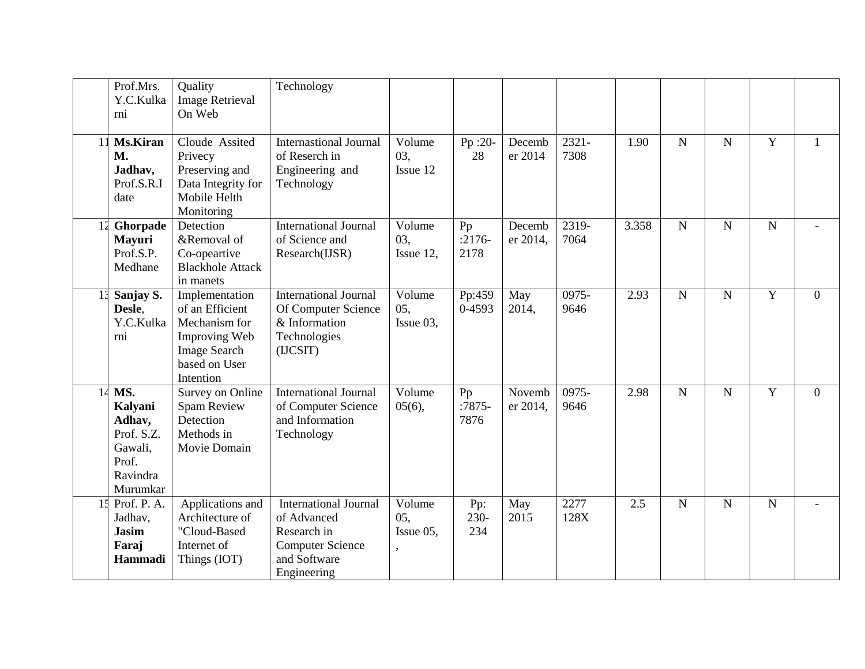|    | Prof.Mrs.<br>Y.C.Kulka<br>rni                                                      | Quality<br><b>Image Retrieval</b><br>On Web                                                                              | Technology                                                                                                           |                            |                        |                    |                  |       |                |                |                |                |
|----|------------------------------------------------------------------------------------|--------------------------------------------------------------------------------------------------------------------------|----------------------------------------------------------------------------------------------------------------------|----------------------------|------------------------|--------------------|------------------|-------|----------------|----------------|----------------|----------------|
| 11 | <b>Ms.Kiran</b><br><b>M.</b><br>Jadhav,<br>Prof.S.R.I<br>date                      | Cloude Assited<br>Privecy<br>Preserving and<br>Data Integrity for<br>Mobile Helth<br>Monitoring                          | <b>Internastional Journal</b><br>of Reserch in<br>Engineering and<br>Technology                                      | Volume<br>03,<br>Issue 12  | Pp :20-<br>28          | Decemb<br>er 2014  | $2321 -$<br>7308 | 1.90  | $\mathbf N$    | $\mathbf N$    | Y              | 1              |
|    | 12 Ghorpade<br><b>Mayuri</b><br>Prof.S.P.<br>Medhane                               | Detection<br>&Removal of<br>Co-opeartive<br><b>Blackhole Attack</b><br>in manets                                         | <b>International Journal</b><br>of Science and<br>Research(IJSR)                                                     | Volume<br>03,<br>Issue 12, | Pp<br>$:2176-$<br>2178 | Decemb<br>er 2014, | 2319-<br>7064    | 3.358 | $\mathbf N$    | $\mathbf N$    | ${\bf N}$      |                |
|    | Sanjay S.<br>Desle,<br>Y.C.Kulka<br>rni                                            | Implementation<br>of an Efficient<br>Mechanism for<br>Improving Web<br><b>Image Search</b><br>based on User<br>Intention | <b>International Journal</b><br>Of Computer Science<br>& Information<br>Technologies<br>(IJCSIT)                     | Volume<br>05,<br>Issue 03, | Pp:459<br>0-4593       | May<br>2014,       | 0975-<br>9646    | 2.93  | $\mathbf N$    | $\mathbf N$    | $\mathbf Y$    | $\overline{0}$ |
| 14 | MS.<br>Kalyani<br>Adhav,<br>Prof. S.Z.<br>Gawali,<br>Prof.<br>Ravindra<br>Murumkar | Survey on Online<br>Spam Review<br>Detection<br>Methods in<br>Movie Domain                                               | <b>International Journal</b><br>of Computer Science<br>and Information<br>Technology                                 | Volume<br>05(6),           | Pp<br>$:7875-$<br>7876 | Novemb<br>er 2014, | 0975-<br>9646    | 2.98  | $\overline{N}$ | $\overline{N}$ | $\overline{Y}$ | $\overline{0}$ |
|    | 15 Prof. P. A.<br>Jadhav,<br><b>Jasim</b><br>Faraj<br>Hammadi                      | Applications and<br>Architecture of<br>"Cloud-Based<br>Internet of<br>Things (IOT)                                       | <b>International Journal</b><br>of Advanced<br>Research in<br><b>Computer Science</b><br>and Software<br>Engineering | Volume<br>05,<br>Issue 05, | Pp:<br>$230-$<br>234   | May<br>2015        | 2277<br>128X     | 2.5   | $\mathbf N$    | ${\bf N}$      | ${\bf N}$      |                |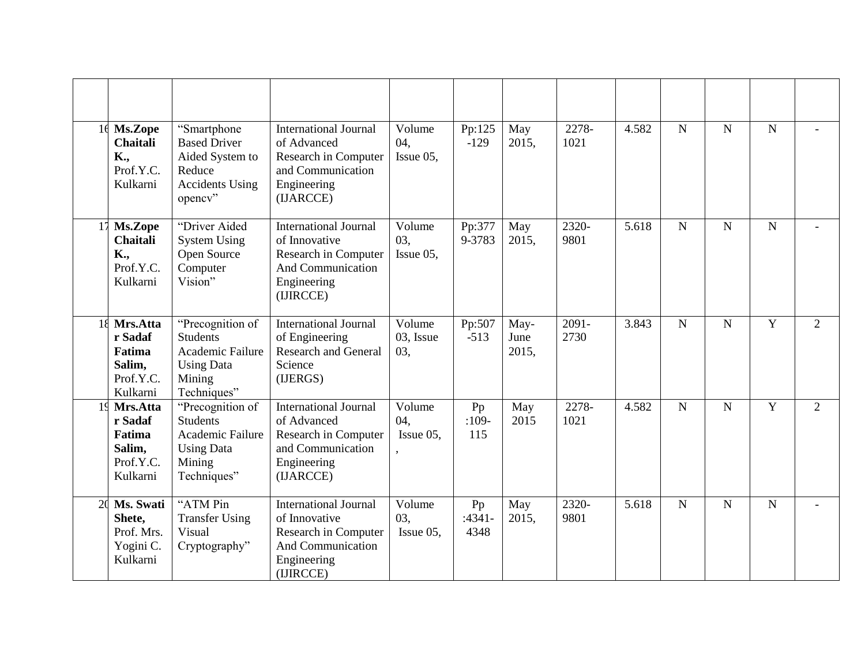|    | 16 Ms.Zope<br><b>Chaitali</b><br>K.,<br>Prof.Y.C.<br>Kulkarni       | "Smartphone"<br><b>Based Driver</b><br>Aided System to<br>Reduce<br><b>Accidents Using</b><br>opency" | <b>International Journal</b><br>of Advanced<br>Research in Computer<br>and Communication<br>Engineering<br>(IJARCCE)          | Volume<br>04,<br>Issue 05,          | Pp:125<br>$-129$       | May<br>2015,          | 2278-<br>1021               | 4.582 | $\mathbf N$    | $\overline{N}$ | $\overline{N}$ |                |
|----|---------------------------------------------------------------------|-------------------------------------------------------------------------------------------------------|-------------------------------------------------------------------------------------------------------------------------------|-------------------------------------|------------------------|-----------------------|-----------------------------|-------|----------------|----------------|----------------|----------------|
| 17 | Ms.Zope<br><b>Chaitali</b><br>K.,<br>Prof.Y.C.<br>Kulkarni          | "Driver Aided<br><b>System Using</b><br>Open Source<br>Computer<br>Vision"                            | <b>International Journal</b><br>of Innovative<br>Research in Computer<br>And Communication<br>Engineering<br>(IJIRCCE)        | Volume<br>03.<br>Issue 05,          | Pp:377<br>9-3783       | May<br>2015.          | $\overline{2320}$ -<br>9801 | 5.618 | $\mathbf N$    | $\mathbf N$    | ${\bf N}$      |                |
|    | 18 Mrs.Atta<br>r Sadaf<br>Fatima<br>Salim,<br>Prof.Y.C.<br>Kulkarni | "Precognition of<br><b>Students</b><br>Academic Failure<br><b>Using Data</b><br>Mining<br>Techniques" | <b>International Journal</b><br>of Engineering<br>Research and General<br>Science<br>(IJERGS)                                 | $\bar{V}$ olume<br>03, Issue<br>03, | Pp:507<br>$-513$       | May-<br>June<br>2015, | 2091-<br>2730               | 3.843 | $\overline{N}$ | N              | Y              | $\overline{2}$ |
|    | 19 Mrs.Atta<br>r Sadaf<br>Fatima<br>Salim,<br>Prof.Y.C.<br>Kulkarni | "Precognition of<br><b>Students</b><br>Academic Failure<br><b>Using Data</b><br>Mining<br>Techniques" | <b>International Journal</b><br>of Advanced<br>Research in Computer<br>and Communication<br>Engineering<br>(IJARCCE)          | Volume<br>04,<br>Issue 05,          | Pp<br>$:109-$<br>115   | May<br>2015           | 2278-<br>1021               | 4.582 | $\overline{N}$ | N              | $\overline{Y}$ | $\overline{2}$ |
| 20 | Ms. Swati<br>Shete,<br>Prof. Mrs.<br>Yogini C.<br>Kulkarni          | "ATM Pin<br><b>Transfer Using</b><br>Visual<br>Cryptography"                                          | <b>International Journal</b><br>of Innovative<br>Research in Computer<br><b>And Communication</b><br>Engineering<br>(IJIRCCE) | Volume<br>03,<br>Issue $05$ ,       | Pp<br>$:4341-$<br>4348 | May<br>2015,          | 2320-<br>9801               | 5.618 | $\mathbf N$    | $\mathbf N$    | ${\bf N}$      |                |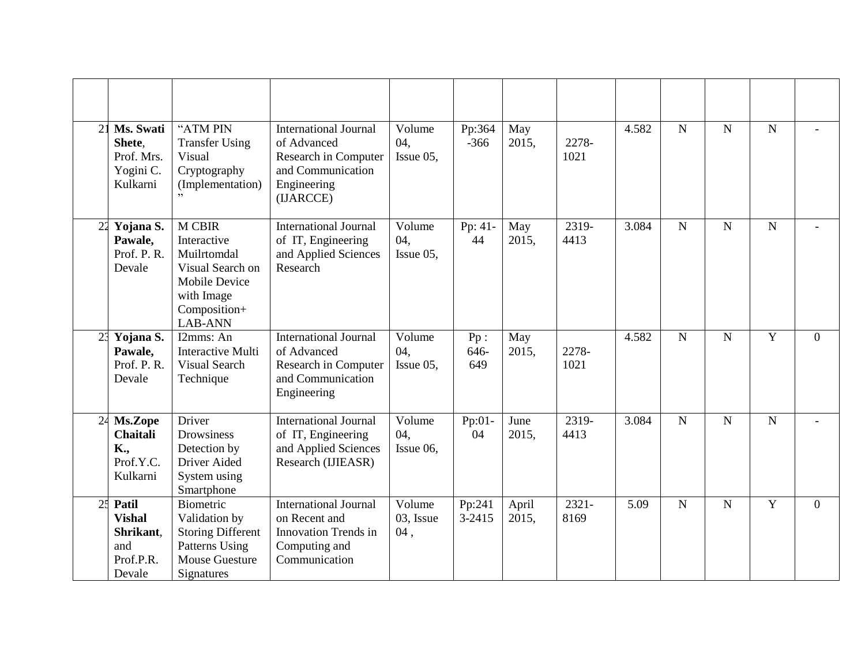| 21             | Ms. Swati<br>Shete.<br>Prof. Mrs.<br>Yogini C.<br>Kulkarni        | "ATM PIN<br><b>Transfer Using</b><br>Visual<br>Cryptography<br>(Implementation)                                                  | <b>International Journal</b><br>of Advanced<br>Research in Computer<br>and Communication<br>Engineering<br>(IJARCCE) | Volume<br>04,<br>Issue 05, | Pp:364<br>$-366$   | May<br>2015,   | 2278-<br>1021    | 4.582 | $\overline{N}$ | $\mathbf N$    | ${\bf N}$      |                |
|----------------|-------------------------------------------------------------------|----------------------------------------------------------------------------------------------------------------------------------|----------------------------------------------------------------------------------------------------------------------|----------------------------|--------------------|----------------|------------------|-------|----------------|----------------|----------------|----------------|
|                | 22 Yojana S.<br>Pawale,<br>Prof. P.R.<br>Devale                   | <b>M CBIR</b><br>Interactive<br>Muilrtomdal<br>Visual Search on<br><b>Mobile Device</b><br>with Image<br>Composition+<br>LAB-ANN | <b>International Journal</b><br>of IT, Engineering<br>and Applied Sciences<br>Research                               | Volume<br>04,<br>Issue 05, | Pp: 41-<br>44      | May<br>2015,   | 2319-<br>4413    | 3.084 | $\overline{N}$ | $\overline{N}$ | $\mathbf N$    |                |
| 2 <sup>3</sup> | Yojana S.<br>Pawale,<br>Prof. P. R.<br>Devale                     | I2mms: An<br><b>Interactive Multi</b><br><b>Visual Search</b><br>Technique                                                       | <b>International Journal</b><br>of Advanced<br>Research in Computer<br>and Communication<br>Engineering              | Volume<br>04,<br>Issue 05, | Pp:<br>646-<br>649 | May<br>2015,   | 2278-<br>1021    | 4.582 | $\overline{N}$ | $\mathbf N$    | Y              | $\theta$       |
| 24             | Ms.Zope<br><b>Chaitali</b><br>K.,<br>Prof.Y.C.<br>Kulkarni        | Driver<br>Drowsiness<br>Detection by<br>Driver Aided<br>System using<br>Smartphone                                               | <b>International Journal</b><br>of IT, Engineering<br>and Applied Sciences<br>Research (IJIEASR)                     | Volume<br>04,<br>Issue 06, | Pp:01-<br>04       | June<br>2015,  | 2319-<br>4413    | 3.084 | $\overline{N}$ | $\overline{N}$ | $\overline{N}$ |                |
| 25             | Patil<br><b>Vishal</b><br>Shrikant,<br>and<br>Prof.P.R.<br>Devale | <b>Biometric</b><br>Validation by<br><b>Storing Different</b><br>Patterns Using<br><b>Mouse Guesture</b><br>Signatures           | <b>International Journal</b><br>on Recent and<br><b>Innovation Trends in</b><br>Computing and<br>Communication       | Volume<br>03, Issue<br>04, | Pp:241<br>3-2415   | April<br>2015, | $2321 -$<br>8169 | 5.09  | $\mathbf N$    | N              | Y              | $\overline{0}$ |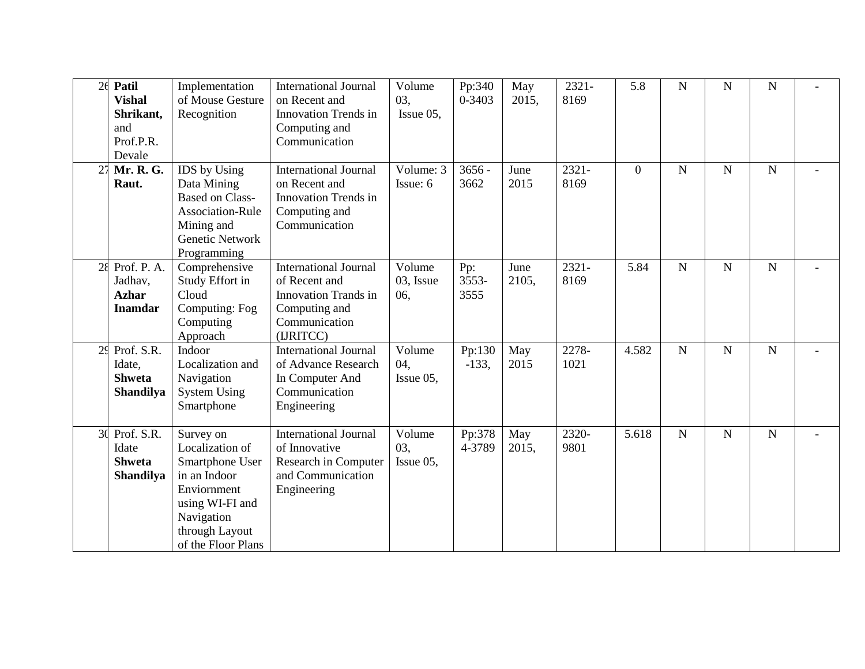| 2 <sub>6</sub> | Patil<br><b>Vishal</b><br>Shrikant,<br>and<br>Prof.P.R.<br>Devale | Implementation<br>of Mouse Gesture<br>Recognition                                                                                                       | <b>International Journal</b><br>on Recent and<br>Innovation Trends in<br>Computing and<br>Communication                     | Volume<br>03,<br>Issue $05$ , | Pp:340<br>$0 - 3403$ | May<br>2015,  | 2321-<br>8169 | 5.8            | $\overline{N}$ | $\mathbf N$ | ${\bf N}$      |                          |
|----------------|-------------------------------------------------------------------|---------------------------------------------------------------------------------------------------------------------------------------------------------|-----------------------------------------------------------------------------------------------------------------------------|-------------------------------|----------------------|---------------|---------------|----------------|----------------|-------------|----------------|--------------------------|
| 27             | Mr. R. G.<br>Raut.                                                | IDS by Using<br>Data Mining<br><b>Based on Class-</b><br><b>Association-Rule</b><br>Mining and<br>Genetic Network<br>Programming                        | <b>International Journal</b><br>on Recent and<br>Innovation Trends in<br>Computing and<br>Communication                     | Volume: 3<br>Issue: 6         | $3656 -$<br>3662     | June<br>2015  | 2321-<br>8169 | $\overline{0}$ | $\mathbf N$    | $\mathbf N$ | ${\bf N}$      | $\overline{\phantom{a}}$ |
| 28             | Prof. P. A.<br>Jadhav,<br><b>Azhar</b><br><b>Inamdar</b>          | Comprehensive<br>Study Effort in<br>Cloud<br>Computing: Fog<br>Computing<br>Approach                                                                    | <b>International Journal</b><br>of Recent and<br><b>Innovation Trands in</b><br>Computing and<br>Communication<br>(IJRITCC) | Volume<br>03, Issue<br>06,    | Pp:<br>3553-<br>3555 | June<br>2105, | 2321-<br>8169 | 5.84           | N              | ${\bf N}$   | ${\bf N}$      |                          |
| 2 <sup>5</sup> | Prof. $S.R.$<br>Idate,<br><b>Shweta</b><br>Shandilya              | Indoor<br>Localization and<br>Navigation<br><b>System Using</b><br>Smartphone                                                                           | <b>International Journal</b><br>of Advance Research<br>In Computer And<br>Communication<br>Engineering                      | Volume<br>04,<br>Issue 05,    | Pp:130<br>$-133,$    | May<br>2015   | 2278-<br>1021 | 4.582          | $\overline{N}$ | $\mathbf N$ | $\overline{N}$ |                          |
| 3 <sup>0</sup> | Prof. S.R.<br>Idate<br><b>Shweta</b><br><b>Shandilya</b>          | Survey on<br>Localization of<br>Smartphone User<br>in an Indoor<br>Enviornment<br>using WI-FI and<br>Navigation<br>through Layout<br>of the Floor Plans | <b>International Journal</b><br>of Innovative<br>Research in Computer<br>and Communication<br>Engineering                   | Volume<br>03.<br>Issue 05,    | Pp:378<br>4-3789     | May<br>2015,  | 2320-<br>9801 | 5.618          | N              | N           | ${\bf N}$      |                          |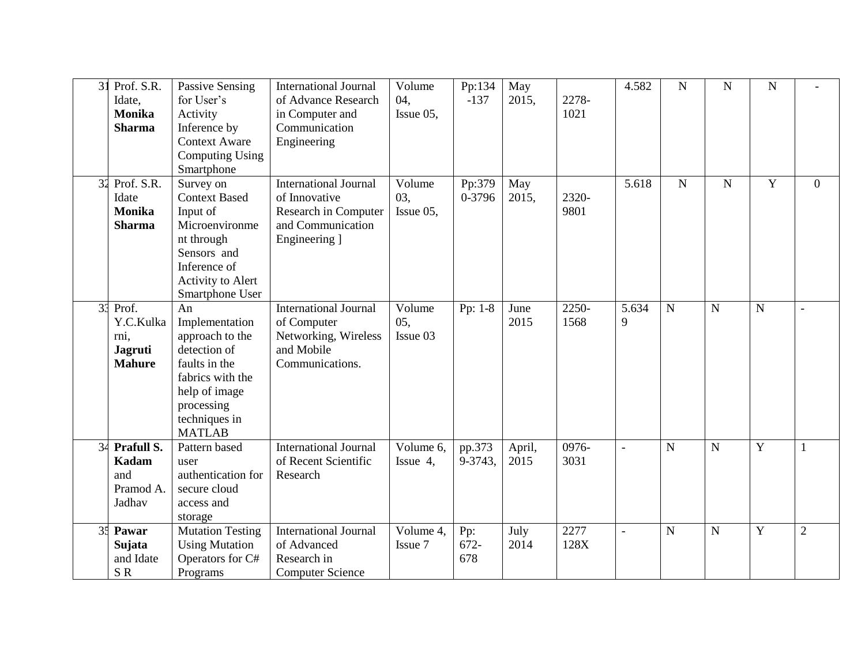| 3 <sup>1</sup> | Prof. S.R.<br>Idate.<br><b>Monika</b><br><b>Sharma</b>          | Passive Sensing<br>for User's<br>Activity<br>Inference by<br><b>Context Aware</b><br><b>Computing Using</b><br>Smartphone                                     | <b>International Journal</b><br>of Advance Research<br>in Computer and<br>Communication<br>Engineering      | Volume<br>04,<br>Issue 05, | Pp:134<br>$-137$   | May<br>2015,   | 2278-<br>1021 | 4.582          | $\mathbf N$ | ${\bf N}$   | ${\bf N}$   |                |
|----------------|-----------------------------------------------------------------|---------------------------------------------------------------------------------------------------------------------------------------------------------------|-------------------------------------------------------------------------------------------------------------|----------------------------|--------------------|----------------|---------------|----------------|-------------|-------------|-------------|----------------|
| 32             | Prof. $S.R.$<br>Idate<br><b>Monika</b><br><b>Sharma</b>         | Survey on<br><b>Context Based</b><br>Input of<br>Microenvironme<br>nt through<br>Sensors and<br>Inference of<br>Activity to Alert<br>Smartphone User          | <b>International Journal</b><br>of Innovative<br>Research in Computer<br>and Communication<br>Engineering ] | Volume<br>03,<br>Issue 05, | Pp:379<br>0-3796   | May<br>2015,   | 2320-<br>9801 | 5.618          | $\mathbf N$ | $\mathbf N$ | $\mathbf Y$ | $\overline{0}$ |
| 33             | Prof.<br>Y.C.Kulka<br>rni,<br><b>Jagruti</b><br><b>Mahure</b>   | An<br>Implementation<br>approach to the<br>detection of<br>faults in the<br>fabrics with the<br>help of image<br>processing<br>techniques in<br><b>MATLAB</b> | <b>International Journal</b><br>of Computer<br>Networking, Wireless<br>and Mobile<br>Communications.        | Volume<br>05,<br>Issue 03  | Pp: 1-8            | June<br>2015   | 2250-<br>1568 | 5.634<br>9     | $\mathbf N$ | $\mathbf N$ | $\mathbf N$ | $\overline{a}$ |
| 34             | <b>Prafull S.</b><br><b>Kadam</b><br>and<br>Pramod A.<br>Jadhav | Pattern based<br>user<br>authentication for<br>secure cloud<br>access and<br>storage                                                                          | <b>International Journal</b><br>of Recent Scientific<br>Research                                            | Volume 6,<br>Issue 4,      | pp.373<br>9-3743,  | April,<br>2015 | 0976-<br>3031 |                | $\mathbf N$ | $\mathbf N$ | Y           | 1              |
| 35             | Pawar<br>Sujata<br>and Idate<br>SR                              | <b>Mutation Testing</b><br><b>Using Mutation</b><br>Operators for C#<br>Programs                                                                              | <b>International Journal</b><br>of Advanced<br>Research in<br><b>Computer Science</b>                       | Volume 4,<br>Issue 7       | Pp:<br>672-<br>678 | July<br>2014   | 2277<br>128X  | $\overline{a}$ | $\mathbf N$ | $\mathbf N$ | $\mathbf Y$ | $\overline{2}$ |